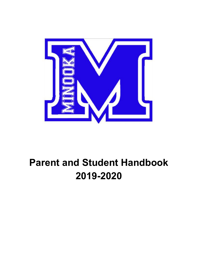

# **Parent and Student Handbook 2019-2020**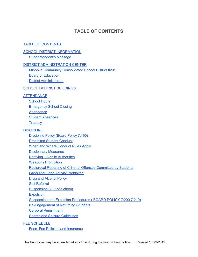# **TABLE OF CONTENTS**

#### <span id="page-1-0"></span>TABLE OF [CONTENTS](#page-1-0)

#### **SCHOOL DISTRICT [INFORMATION](#page-4-0)**

[Superintendent's](#page-4-1) Message

#### DISTRICT [ADMINISTRATION](#page-5-0) CENTER

Minooka Community [Consolidated](#page-5-1) School District #201 Board of [Education](#page-5-2)

District [Administration](#page-6-0)

#### SCHOOL DISTRICT [BUILDINGS](#page-7-0)

#### **[ATTENDANCE](#page-8-0)**

[School](#page-8-1) Hours [Emergency](#page-8-2) School Closing **[Attendance](#page-9-0)** Student [Absences](#page-9-1) **[Truancy](#page-11-0)** 

#### **[DISCIPLINE](#page-12-0)**

[Discipline](#page-12-1) Policy (Board Policy 7:190) [Prohibited](#page-13-0) Student Conduct When and Where [Conduct](#page-15-0) Rules Apply [Disciplinary](#page-16-0) Measures Notifying Juvenile [Authorities](#page-16-1) **Weapons [Prohibition](#page-17-0)** Reciprocal Reporting of Criminal Offenses [Committed](#page-17-1) by Students Gang and Gang Activity [Prohibited](#page-17-2) Drug and [Alcohol](#page-18-0) Policy Self [Referral](#page-19-0) Suspension [\(Out-of-School\)](#page-19-1) **[Expulsion](#page-19-2)** Suspension and Expulsion Procedures ( BOARD POLICY [7:200,7:210\)](#page-20-0) [Re-Engagement](#page-21-0) of Returning Students Corporal [Punishment](#page-21-1)

**Search and Seizure [Guidelines](#page-21-2)** 

#### FEE [SCHEDULE](#page-22-0)

Fees, Fee Policies, and [Insurance](#page-22-1)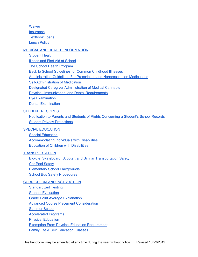**[Waiver](#page-22-2) [Insurance](#page-23-0)** [Textbook](#page-23-1) Loans [Lunch](#page-23-2) Policy

#### MEDICAL AND HEALTH [INFORMATION](#page-24-0)

[Student](#page-24-1) Health

Illness and First Aid at [School](#page-24-2)

The School Health [Program](#page-24-3)

Back to School [Guidelines](#page-25-0) for Common Childhood Illnesses

Administration Guidelines For Prescription and [Nonprescription](#page-26-0) Medications

[Self-Administration](#page-27-0) of Medication

Designated Caregiver [Administration](#page-27-1) of Medical Cannabis

Physical, [Immunization,](#page-28-0) and Dental Requirements

Eye [Examination](#page-29-0)

Dental [Examination](#page-29-1)

#### STUDENT [RECORDS](#page-30-0)

Notification to Parents and Students of Rights [Concerning](#page-30-1) a Student's School Records Student Privacy [Protections](#page-33-0)

#### SPECIAL [EDUCATION](#page-34-0)

Special [Education](#page-34-1) [Accommodating](#page-34-2) Individuals with Disabilities Education of Children with [Disabilities](#page-35-0)

#### **[TRANSPORTATION](#page-36-0)**

Bicycle, Skateboard, Scooter, and Similar [Transportation](#page-36-1) Safety **Car Pool [Safety](#page-36-2)** Elementary School [Playgrounds](#page-36-3) School Bus Safety [Procedures](#page-36-4)

#### CURRICULUM AND [INSTRUCTION](#page-39-0)

[Standardized](#page-39-1) Testing **Student [Evaluation](#page-39-2) Grade Point Average [Explanation](#page-39-3) Advanced Course Placement [Consideration](#page-40-0)** [Summer](#page-40-1) School [Accelerated](#page-41-0) Programs **Physical [Education](#page-41-1) Exemption From Physical Education [Requirement](#page-42-0)** Family Life & Sex [Education](#page-43-0) Classes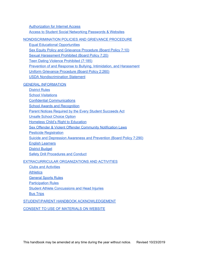[Authorization](#page-43-1) for Internet Access

Access to Student Social [Networking](#page-44-0) Passwords & Websites

[NONDISCRIMINATION](#page-44-1) POLICIES AND GRIEVANCE PROCEDURE

Equal Educational [Opportunities](#page-44-2)

Sex Equity Policy and Grievance [Procedure](#page-45-0) (Board Policy 7:10)

Sexual [Harassment](#page-45-1) Prohibited (Board Policy 7:20)

Teen Dating Violence [Prohibited](#page-46-0) (7:185)

Prevention of and Response to Bullying, [Intimidation,](#page-47-0) and Harassment

Uniform Grievance [Procedure](#page-48-0) (Board Policy 2:260)

USDA [Nondiscrimination](#page-49-0) Statement

#### GENERAL [INFORMATION](#page-50-0)

[District](#page-50-1) Rules

School [Visitations](#page-52-0)

Confidential [Communications](#page-52-1)

School Awards and [Recognition](#page-52-2)

Parent Notices Required by the Every Student [Succeeds](#page-53-0) Act

[Unsafe](#page-54-0) School Choice Option

Homeless Child's Right to [Education](#page-54-1)

Sex Offender & Violent Offender [Community](#page-54-1) Notification Laws

Pesticide [Registration](#page-55-0)

Suicide and [Depression](#page-55-1) Awareness and Prevention (Board Policy 7:290)

English [Learners](#page-56-0)

District [Budget](#page-56-1)

Safety Drill [Procedures](#page-56-2) and Conduct

#### [EXTRACURRICULAR](#page-56-3) ORGANIZATIONS AND ACTIVITIES

Clubs and [Activities](#page-57-0)

**[Athletics](#page-58-0)** 

[General](#page-60-0) Sports Rules

[Participation](#page-61-0) Rules

Student Athlete [Concussions](#page-62-0) and Head Injuries

Bus [Trips](#page-62-1)

STUDENT/PARENT HANDBOOK [ACKNOWLEDGEMENT](#page-64-0)

CONSENT TO USE OF [MATERIALS](#page-65-0) ON WEBSITE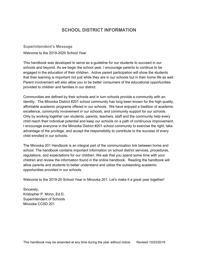# **SCHOOL DISTRICT INFORMATION**

<span id="page-4-1"></span><span id="page-4-0"></span>**Superintendent's Message**

Welcome to the 2019-2020 School Year

This handbook was developed to serve as a guideline for our students to succeed in our schools and beyond. As we begin the school year, I encourage parents to continue to be engaged in the education of their children. Active parent participation will show the students that their learning is important not just while they are in our schools but in their home life as well. Parent involvement will also allow you to be better consumers of the educational opportunities provided to children and families in our district.

Communities are defined by their schools and in turn schools provide a community with an identity. The Minooka District #201 school community has long been known for the high quality, affordable academic programs offered in our schools. We have enjoyed a tradition of academic excellence, community involvement in our schools, and community support for our schools. Only by working together can students, parents, teachers, staff and the community help every child reach their individual potential and keep our schools on a path of continuous improvement. I encourage everyone in the Minooka District #201 school community to exercise the right, take advantage of the privilege, and accept the responsibility to contribute to the success of every child enrolled in our schools.

The Minooka 201 Handbook is an integral part of the communication link between home and school. The handbook contains important information on school district services, procedures, regulations, and expectations for our children. We ask that you spend some time with your children and review the information found in the online handbook. Reading the handbook will allow parents and students to better understand and utilize the outstanding academic opportunities provided in our schools.

Welcome to the 2019-20 School Year in Minooka 201. Let's make it a great year together!

Sincerely, Kristopher P. Monn, Ed.D. Superintendent of Schools Minooka CCSD 201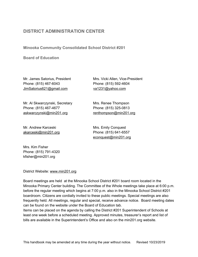# <span id="page-5-0"></span>**DISTRICT ADMINISTRATION CENTER**

<span id="page-5-1"></span>**Minooka Community Consolidated School District #201**

<span id="page-5-2"></span>**Board of Education**

Mr. James Satorius, President Mrs. Vicki Allen, Vice-President Phone: (815) 467-6043 Phone: (815) 592-4604 JimSatorius621@gmail.com va1231@yahoo.com

Mr. Al Skwarczynski, Secretary Mrs. Renee Thompson Phone: (815) 467-4677 Phone: (815) 325-0813 [askwarczynski@min201.org](mailto:askwarczynski@min201.org) renthompson@min201.org

Mr. Andrew Karceski Mrs. Emily Conquest [akarceski@min201.org](mailto:akarceski@min201.org) Phone: (815) 641-6557

[econquest@min201.org](mailto:econquest@min201.org)

Mrs. Kim Fisher Phone: (815) 791-4320 kfisher@min201.org

District Website: www.min201.org

Board meetings are held at the Minooka School District #201 board room located in the Minooka Primary Center building. The Committee of the Whole meetings take place at 6:00 p.m. before the regular meeting which begins at 7:00 p.m. also in the Minooka School District #201 boardroom. Citizens are cordially invited to these public meetings. Special meetings are also frequently held. All meetings, regular and special, receive advance notice. Board meeting dates can be found on the website under the Board of Education tab.

Items can be placed on the agenda by calling the District #201 Superintendent of Schools at least one week before a scheduled meeting. Approved minutes, treasurer's report and list of bills are available in the Superintendent's Office and also on the min201.org website.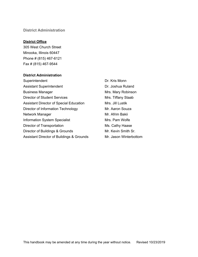#### <span id="page-6-0"></span>**District Administration**

#### **District Office**

305 West Church Street Minooka, Illinois 60447 Phone # (815) 467-6121 Fax # (815) 467-9544

#### **District Administration**

Superintendent Dr. Kris Monn Assistant Superintendent **Dr. Joshua Ruland** Business Manager Mrs. Mary Robinson Director of Student Services Mrs. Tiffany Staab Assistant Director of Special Education Mrs. Jill Lustik Director of Information Technology Mr. Aaron Souza Network Manager **Mr. Afrim Bakii** Information System Specialist Mrs. Pam Wolfe Director of Transportation Ms. Cathy Haase Director of Buildings & Grounds Mr. Kevin Smith Sr. Assistant Director of Buildings & Grounds Mr. Jason Winterbottom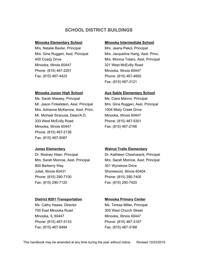# **SCHOOL DISTRICT BUILDINGS**

#### <span id="page-7-0"></span>**Minooka Elementary School Minooka Intermediate School**

Mrs. Natalie Baxter, Principal Mrs. Jeana Pekol, Principal Minooka, Illinois 60447 321 West McEvilly Road Phone: (815) 467-2261 Minooka, Illinois 60447 Fax: (815) 467-4423 Phone: (815) 467-4692

Ms. Sarah Massey, Principal Ms. Ciara Manno, Principal Mr. Jason Finkelstein, Asst. Principal Mrs. Gina Ruggeri, Asst. Principal Mrs. Adrianne McKerrow, Asst. Princ. 1004 Misty Creek Drive Mr. Michael Siracusa, Dean/A.D. Minooka, Illinois 60447 333 West McEvilly Road Phone: (815) 467-5301 Minooka, Illinois 60447 Fax: (815) 467-2166 Phone: (815) 467-2136 Fax: (815) 467-5087

Dr. Rodney Hiser, Principal Dr. Kathleen Cheshareck, Principal 800 Barberry Way 301 Wynstone Drive Joliet, Illinois 60431 Shorewood, Illinois 60404 Phone: (815) 290-7100 Phone: (815) 290-7400 Fax: (815) 290-7120 Fax: (815) 290-7420

#### **District #201 Transportation Minooka Primary Center**

700 East Minooka Road 305 West Church Street Minooka, IL 60447 Minooka, Illinois 60447 Phone: (815) 467-5133 Phone: (815) 467-3167 Fax: (815) 467-9484 Fax: (815) 467-3168

Mrs. Gina Ruggeri, Asst. Principal Mrs. Jacqueline Harig, Asst. Princ. 400 Coady Drive Mrs. Monica Totaro, Asst. Principal Fax: (815) 467-3121

#### **Minooka Junior High School Aux Sable Elementary School**

#### **Jones Elementary Walnut Trails Elementary**

Mrs. Sarah Monroe, Asst. Principal Mrs. Sarah Monroe, Asst. Principal

Ms. Cathy Haase, Director **Ms. Teresa Miller, Principal**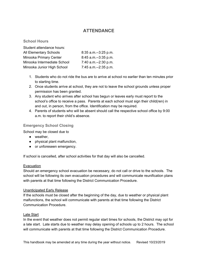# **ATTENDANCE**

#### <span id="page-8-1"></span><span id="page-8-0"></span>**School Hours**

| Student attendance hours:     |                        |
|-------------------------------|------------------------|
| <b>All Elementary Schools</b> | $8:35$ a.m.--3:25 p.m. |
| Minooka Primary Center        | 8:45 a.m.--3:35 p.m.   |
| Minooka Intermediate School   | 7:40 a.m.--2:30 p.m.   |
| Minooka Junior High School    | 7:45 a.m.--2:35 p.m.   |

- 1. Students who do not ride the bus are to arrive at school no earlier than ten minutes prior to starting time.
- 2. Once students arrive at school, they are not to leave the school grounds unless proper permission has been granted.
- 3. Any student who arrives after school has begun or leaves early must report to the school's office to receive a pass. Parents at each school must sign their child(ren) in and out, in person, from the office. Identification may be required.
- 4. Parents of students who will be absent should call the respective school office by 9:00 a.m. to report their child's absence.

#### <span id="page-8-2"></span>**Emergency School Closing**

School may be closed due to

- weather,
- physical plant malfunction,
- or unforeseen emergency.

If school is cancelled, after school activities for that day will also be cancelled.

#### Evacuation

Should an emergency school evacuation be necessary, do not call or drive to the schools. The school will be following its own evacuation procedures and will communicate reunification plans with parents at that time following the District Communication Procedure.

#### Unanticipated Early Release

If the schools must be closed after the beginning of the day, due to weather or physical plant malfunctions, the school will communicate with parents at that time following the District Communication Procedure.

#### Late Start

In the event that weather does not permit regular start times for schools, the District may opt for a late start. Late starts due to weather may delay opening of schools up to 2 hours. The school will communicate with parents at that time following the District Communication Procedure.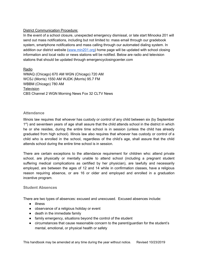#### District Communication Procedure:

In the event of a school closure, unexpected emergency dismissal, or late start Minooka 201 will send out mass notifications, including but not limited to: mass email through our gradebook system, smartphone notifications and mass calling through our automated dialing system. In addition our district website ([www.min201.org](http://www.min201.org/)) home page will be updated with school closing information and local radio or news stations will be notified. Below are radio and television stations that should be updated through emergencyclosingcenter.com

Radio WMAQ (Chicago) 670 AM WGN (Chicago) 720 AM WCSJ (Morris) 1550 AM WJDK (Morris) 95.7 FM WBBM (Chicago) 780 AM **Television** CBS Channel 2 WGN Morning News Fox 32 CLTV News

#### <span id="page-9-0"></span>**Attendance**

Illinois law requires that whoever has custody or control of any child between six (by September 1<sup>st</sup>) and seventeen years of age shall assure that the child attends school in the district in which he or she resides, during the entire time school is in session (unless the child has already graduated from high school). Illinois law also requires that whoever has custody or control of a child who is enrolled in the school, regardless of the child's age, shall assure that the child attends school during the entire time school is in session.

There are certain exceptions to the attendance requirement for children who: attend private school, are physically or mentally unable to attend school (including a pregnant student suffering medical complications as certified by her physician), are lawfully and necessarily employed, are between the ages of 12 and 14 while in confirmation classes, have a religious reason requiring absence, or are 16 or older and employed and enrolled in a graduation incentive program.

#### <span id="page-9-1"></span>**Student Absences**

There are two types of absences: excused and unexcused. Excused absences include:

- illness
- observance of a religious holiday or event
- death in the immediate family
- family emergency, situations beyond the control of the student
- circumstances that cause reasonable concern to the parent/guardian for the student's mental, emotional, or physical health or safety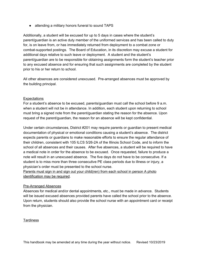● attending a military honors funeral to sound TAPS

Additionally, a student will be excused for up to 5 days in cases where the student's parent/guardian is an active duty member of the uniformed services and has been called to duty for, is on leave from, or has immediately returned from deployment to a combat zone or combat-supported postings. The Board of Education, in its discretion may excuse a student for additional days relative to such leave or deployment. A student and the student's parent/guardian are to be responsible for obtaining assignments form the student's teacher prior to any excused absence and for ensuring that such assignments are completed by the student prior to his or her return to school.

All other absences are considered unexcused. Pre-arranged absences must be approved by the building principal.

#### **Expectations**

For a student's absence to be excused, parents/guardian must call the school before 9 a.m. when a student will not be in attendance. In addition, each student upon returning to school must bring a signed note from the parent/guardian stating the reason for the absence. Upon request of the parent/guardian, the reason for an absence will be kept confidential.

Under certain circumstances, District #201 may require parents or guardian to present medical documentation of physical or emotional conditions causing a student's absence. The district expects parents or guardians to make reasonable efforts to ensure the regular attendance of their children, consistent with 105 ILCS 5/26-2A of the Illinois School Code, and to inform the school of all absences and their causes. After five absences, a student will be required to have a medical note in order for the absence to be excused. Once requested, failure to produce a note will result in an unexcused absence. The five days do not have to be consecutive. If a student is to miss more than three consecutive PE class periods due to illness or injury, a physician's order must be presented to the school nurse.

Parents must sign in and sign out your child(ren) from each school in person A photo identification may be required.

#### Pre-Arranged Absences

Absences for medical and/or dental appointments, etc., must be made in advance. Students will be issued excused absences provided parents have called the school prior to the absence. Upon return, students should also provide the school nurse with an appointment card or receipt from the physician.

**Tardiness**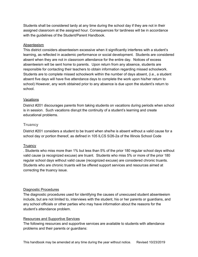Students shall be considered tardy at any time during the school day if they are not in their assigned classroom at the assigned hour. Consequences for tardiness will be in accordance with the guidelines of the Student/Parent Handbook.

#### Absenteeism

This district considers absenteeism excessive when it significantly interferes with a student's learning, as reflected in academic performance or social development. Students are considered absent when they are not in classroom attendance for the entire day. Notices of excess absenteeism will be sent home to parents. Upon return from any absence, students are responsible for contacting their teachers to obtain information regarding missed schoolwork. Students are to complete missed schoolwork within the number of days absent, (i.e., a student absent five days will have five attendance days to complete the work upon his/her return to school) However, any work obtained prior to any absence is due upon the student's return to school.

#### **Vacations**

District #201 discourages parents from taking students on vacations during periods when school is in session. Such vacations disrupt the continuity of a student's learning and create educational problems.

#### <span id="page-11-0"></span>**Truancy**

District #201 considers a student to be truant when she/he is absent without a valid cause for a school day or portion thereof, as defined in 105 ILCS 5/26-2a of the Illinois School Code

#### **Truancy**

. Students who miss more than 1% but less than 5% of the prior 180 regular school days without valid cause (a recognized excuse) are truant. Students who miss 5% or more of the prior 180 regular school days without valid cause (recognized excuse) are considered chronic truants. Students who are chronic truants will be offered support services and resources aimed at correcting the truancy issue.

#### Diagnostic Procedures

The diagnostic procedures used for identifying the causes of unexcused student absenteeism include, but are not limited to, interviews with the student, his or her parents or guardians, and any school officials or other parties who may have information about the reasons for the student's attendance problem.

#### Resources and Supportive Services

The following resources and supportive services are available to students with attendance problems and their parents or guardians: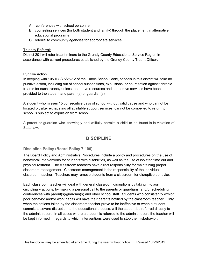- A. conferences with school personnel
- B. counseling services (for both student and family) through the placement in alternative educational programs
- C. referral to community agencies for appropriate services

#### **Truancy Referrals**

District 201 will refer truant minors to the Grundy County Educational Service Region in accordance with current procedures established by the Grundy County Truant Officer.

#### Punitive Action

In keeping with 105 ILCS 5/26-12 of the Illinois School Code, schools in this district will take no punitive action, including out of school suspensions, expulsions, or court action against chronic truants for such truancy unless the above resources and supportive services have been provided to the student and parent(s) or guardian(s).

A student who misses 15 consecutive days of school without valid cause and who cannot be located or, after exhausting all available support services, cannot be compelled to return to school is subject to expulsion from school.

<span id="page-12-0"></span>A parent or guardian who knowingly and willfully permits a child to be truant is in violation of State law.

# **DISCIPLINE**

#### <span id="page-12-1"></span>**Discipline Policy (Board Policy 7:190)**

The Board Policy and Administrative Procedures include a policy and procedures on the use of behavioral interventions for students with disabilities, as well as the use of isolated time out and physical restraint. The classroom teachers have direct responsibility for maintaining proper classroom management. Classroom management is the responsibility of the individual classroom teacher. Teachers may remove students from a classroom for disruptive behavior.

Each classroom teacher will deal with general classroom disruptions by taking in-class disciplinary actions, by making a personal call to the parents or guardians, and/or scheduling conferences with parent(s)/guardian(s) and other school staff. Students who consistently exhibit poor behavior and/or work habits will have their parents notified by the classroom teacher. Only when the actions taken by the classroom teacher prove to be ineffective or when a student commits a severe disruption to the educational process, will the student be referred directly to the administration. In all cases where a student is referred to the administration, the teacher will be kept informed in regards to which interventions were used to stop the misbehavior.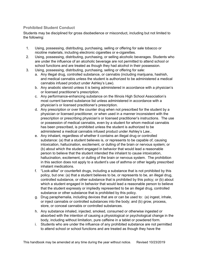### <span id="page-13-0"></span>**Prohibited Student Conduct**

Students may be disciplined for gross disobedience or misconduct, including but not limited to the following:

- 1. Using, possessing, distributing, purchasing, selling or offering for sale tobacco or nicotine materials, including electronic cigarettes or e-cigarettes.
- 2. Using, possessing, distributing, purchasing, or selling alcoholic beverages. Students who are under the influence of an alcoholic beverage are not permitted to attend school or school functions and are treated as though they had alcohol in their possession.
- 3. Using, possessing, distributing, purchasing, selling or offering for sale:
	- a. Any illegal drug, controlled substance, or cannabis (including marijuana, hashish, and medical cannabis unless the student is authorized to be administered a medical cannabis infused product under Ashley's Law).
	- b. Any anabolic steroid unless it is being administered in accordance with a physician's or licensed practitioner's prescription.
	- c. Any performance-enhancing substance on the Illinois High School Association's most current banned substance list unless administered in accordance with a physician's or licensed practitioner's prescription.
	- d. Any prescription or over the counter drug when not prescribed for the student by a physician or licensed practitioner, or when used in a manner inconsistent with the prescription or prescribing physician's or licensed practitioner's instructions. The use or possession of medical cannabis, even by a student for whom medical cannabis has been prescribed, is prohibited unless the student is authorized to be administered a medical cannabis infused product under Ashley's Law..
	- e. Any inhalant, regardless of whether it contains an illegal drug or controlled substance: (a) that a student believes is, or represents to be capable of, causing intoxication, hallucination, excitement, or dulling of the brain or nervous system; or (b) about which the student engaged in behavior that would lead a reasonable person to believe that the student intended the inhalant to cause intoxication, hallucination, excitement, or dulling of the brain or nervous system. The prohibition in this section does not apply to a student's use of asthma or other legally prescribed inhalant medications.
	- f. "Look-alike" or counterfeit drugs, including a substance that is not prohibited by this policy, but one: (a) that a student believes to be, or represents to be, an illegal drug, controlled substance, or other substance that is prohibited by this policy; or (b) about which a student engaged in behavior that would lead a reasonable person to believe that the student expressly or impliedly represented to be an illegal drug, controlled substance or other substance that is prohibited by this policy.
	- g. Drug paraphernalia, including devices that are or can be used to: (a) ingest, inhale, or inject cannabis or controlled substances into the body; and (b) grow, process, store, or conceal cannabis or controlled substances.
	- h. Any substance inhaled, injected, smoked, consumed or otherwise ingested or absorbed with the intention of causing a physiological or psychological change in the body, including without limitation, pure caffeine in a tablet or powdered form.
	- i. Students who are under the influence of any prohibited substance are not permitted to attend school or school functions and are treated as though they have the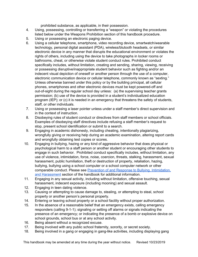prohibited substance, as applicable, in their possession.

- 4. Using, possessing, controlling or transferring a "weapon" or violating the procedures listed below under the Weapons Prohibition section of this handbook procedure.
- 5. Using or possessing an electronic paging device.
- 6. Using a cellular telephone, smartphone, video recording device, smartwatch/wearable technology, personal digital assistant (PDA), wireless/blutooth headsets, or similar electronic device in any manner that disrupts the educational environment or violates the rights of others, including using the device to take photographs in locker rooms or bathrooms, cheat, or otherwise violate student conduct rules. Prohibited conduct specifically includes, without limitation, creating and sending, sharing, viewing, receiving or possessing disruptive/inappropriate student behavior such as fighting and/or an indecent visual depiction of oneself or another person through the use of a computer, electronic communication device or cellular telephone, commonly known as "sexting." Unless otherwise banned under this policy or by the building principal, all cellular phones, smartphones and other electronic devices must be kept powered-off and out-of-sight during the regular school day unless: (a) the supervising teacher grants permission; (b) use of the device is provided in a student's individualized education program (IEP); or (c) it is needed in an emergency that threatens the safety of students, staff, or other individuals.
- 7. Using or possessing a laser pointer unless under a staff member's direct supervision and in the context of instruction.
- 8. Disobeying rules of student conduct or directives from staff members or school officials. Examples of disobeying staff directives include refusing a staff member's request to stop, present school identification or submit to a search.
- 9. Engaging in academic dishonesty, including cheating, intentionally plagiarizing, wrongfully giving or receiving help during an academic examination, altering report cards and wrongfully obtaining test copies or scores.
- 10. Engaging in bullying, hazing or any kind of aggressive behavior that does physical or psychological harm to a staff person or another student or encouraging other students to engage in such behavior. Prohibited conduct specifically includes, without limitation, any use of violence, intimidation, force, noise, coercion, threats, stalking, harassment, sexual harassment, public humiliation, theft or destruction of property, retaliation, hazing, bullying, bullying using a school computer or a school computer network or other comparable conduct. Please see Prevention of and Response to Bullying, [Intimidation,](#page-47-0) and [Harassment](#page-47-0) section of the handbook for additional information.
- 11. Engaging in any sexual activity, including without limitation, offensive touching, sexual harassment, indecent exposure (including mooning) and sexual assault.
- 12. Engaging in teen dating violence.
- 13. Causing or attempting to cause damage to, stealing, or attempting to steal, school property or another person's personal property.
- 14. Entering or leaving school property or a school facility without proper authorization.
- 15. In the absence of a reasonable belief that an emergency exists, calling emergency responders (calling 9-1-1); signaling or setting off alarms or signals indicating the presence of an emergency; or indicating the presence of a bomb or explosive device on school grounds, school bus or at any school activity.
- 16. Being absent without a recognized excuse.
- 17. Being involved with any public school fraternity, sorority, or secret society.
- 18. Being involved in a gang or engaging in gang-like activities, including displaying gang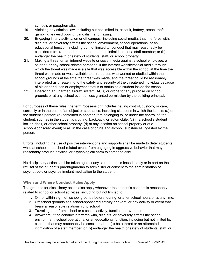symbols or paraphernalia.

- 19. Violating any criminal law, including but not limited to, assault, battery, arson, theft, gambling, eavesdropping, vandalism and hazing.
- 20. Engaging in any activity, on or off campus--including social media, that interferes with, disrupts, or adversely affects the school environment, school operations, or an educational function, including but not limited to, conduct that may reasonably be considered to: (a) be a threat or an attempted intimidation of a staff member; or (b) endanger the health or safety of students, staff, or school property.
- 21. Making a threat on an internet website or social media against a school employee, a student, or any school-related personnel if the internet website/social media through which the threat was made is a site that was accessible within the school at the time the threat was made or was available to third parties who worked or studied within the school grounds at the time the threat was made, and the threat could be reasonably interpreted as threatening to the safety and security of the threatened individual because of his or her duties or employment status or status as a student inside the school.
- 22. Operating an unarmed aircraft system (AUS) or drone for any purpose on school grounds or at any school event unless granted permission by the building principal.

For purposes of these rules, the term "possession" includes having control, custody, or care, currently or in the past, of an object or substance, including situations in which the item is: (a) on the student's person; (b) contained in another item belonging to, or under the control of, the student, such as in the student's clothing, backpack, or automobile; (c) in a school's student locker, desk, or other school property; (d) at any location on school property or at a school-sponsored event; or (e) in the case of drugs and alcohol, substances ingested by the person.

Efforts, including the use of positive interventions and supports shall be made to deter students, while at school or a school-related event, from engaging in aggressive behavior that may reasonably produce physical or psychological harm to someone else.

No disciplinary action shall be taken against any student that is based totally or in part on the refusal of the student's parent/guardian to administer or consent to the administration of psychotropic or psychostimulant medication to the student.

#### <span id="page-15-0"></span>**When and Where Conduct Rules Apply**

The grounds for disciplinary action also apply whenever the student's conduct is reasonably related to school or school activities, including but not limited to:

- 1. On, or within sight of, school grounds before, during, or after school hours or at any time;
- 2. Off school grounds at a school-sponsored activity or event, or any activity or event that bears a reasonable relationship to school;
- 3. Traveling to or from school or a school activity, function, or event; or
- 4. Anywhere, if the conduct interferes with, disrupts, or adversely affects the school environment, school operations, or an educational function, including but not limited to, conduct that may reasonably be considered to: (a) be a threat or an attempted intimidation of a staff member; or (b) endanger the health or safety of students, staff, or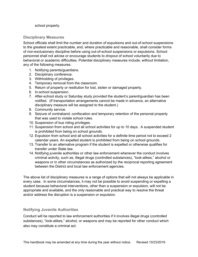school property.

#### <span id="page-16-0"></span>**Disciplinary Measures**

School officials shall limit the number and duration of expulsions and out-of-school suspensions to the greatest extent practicable, and, where practicable and reasonable, shall consider forms of non-exclusionary discipline before using out-of-school suspensions or expulsions. School personnel shall not advise or encourage students to dropout of school voluntarily due to behavioral or academic difficulties. Potential disciplinary measures include, without limitation, any of the following measures:

- 1. Notifying parents/guardians.
- 2. Disciplinary conference.
- 3. Withholding of privileges.
- 4. Temporary removal from the classroom.
- 5. Return of property or restitution for lost, stolen or damaged property.
- 6. In-school suspension.
- 7. After-school study or Saturday study provided the student's parent/guardian has been notified. (If transportation arrangements cannot be made in advance, an alternative disciplinary measure will be assigned to the student.)
- 8. Community service.
- 9. Seizure of contraband; confiscation and temporary retention of the personal property that was used to violate school rules.
- 10. Suspension of bus riding privileges.
- 11. Suspension from school and all school activities for up to 10 days. A suspended student is prohibited from being on school grounds.
- 12. Expulsion from school and all school activities for a definite time period not to exceed 2 calendar years. An expelled student is prohibited from being on school grounds.
- 13. Transfer to an alternative program if the student is expelled or otherwise qualifies for transfer under State law.
- 14. Notifying juvenile authorities or other law enforcement whenever the conduct involves criminal activity, such as, illegal drugs (controlled substances), "look-alikes," alcohol or weapons or in other circumstances as authorized by the reciprocal reporting agreement between the District and local law enforcement agencies.

The above list of disciplinary measures is a range of options that will not always be applicable in every case. In some circumstances, it may not be possible to avoid suspending or expelling a student because behavioral interventions, other than a suspension or expulsion, will not be appropriate and available, and the only reasonable and practical way to resolve the threat and/or address the disruption is a suspension or expulsion.

#### <span id="page-16-1"></span>**Notifying Juvenile Authorities**

Conduct will be reported to law enforcement authorities if it involves illegal drugs (controlled substances), "look-alikes," alcohol, or weapons and may be reported for other conduct which also may constitute a criminal act.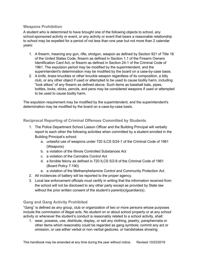#### <span id="page-17-0"></span>**Weapons Prohibition**

A student who is determined to have brought one of the following objects to school, any school-sponsored activity or event, or any activity or event that bears a reasonable relationship to school may be expelled for a period of not less than one year but not more than 2 calendar years:

- 1. A firearm, meaning any gun, rifle, shotgun, weapon as defined by Section 921 of Title 18 of the United States Code, firearm as defined in Section 1.1 of the Firearm Owners Identification Card Act, or firearm as defined in Section 24-1 of the Criminal Code of 1961. The expulsion period may be modified by the superintendent, and the superintendent's determination may be modified by the board on a case-by-case basis.
- 2. A knife, brass knuckles or other knuckle weapon regardless of its composition, a billy club, or any other object if used or attempted to be used to cause bodily harm, including "look alikes" of any firearm as defined above. Such items as baseball bats, pipes, bottles, locks, sticks, pencils, and pens may be considered weapons if used or attempted to be used to cause bodily harm.

The expulsion requirement may be modified by the superintendent, and the superintendent's determination may be modified by the board on a case-by-case basis.

#### <span id="page-17-1"></span>**Reciprocal Reporting of Criminal Offenses Committed by Students**

- 1. The Police Department School Liaison Officer and the Building Principal will verbally report to each other the following activities when committed by a student enrolled in the Building Principal's school:
	- a. unlawful use of weapons under 720 ILCS 5/24-1 of the Criminal Code of 1961 (Weapons)
	- b. a violation of the Illinois Controlled Substances Act
	- c. a violation of the Cannabis Control Act
	- d. a forcible felony as defined in 720 ILCS 5/2-8 of the Criminal Code of 1961 (Board Policy 7:190)
	- e. a violation of the Methamphetamine Control and Community Protection Act
- 2. All incidences of battery will be reported to the proper agency.
- 3. Local law enforcement officials must certify in writing that the information received from the school will not be disclosed to any other party except as provided by State law without the prior written consent of the student's parent(s)/guardian(s).

### <span id="page-17-2"></span>**Gang and Gang Activity Prohibited**

"Gang" is defined as any group, club or organization of two or more persons whose purposes include the commission of illegal acts. No student on or about school property or at any school activity or whenever the student's conduct is reasonably related to a school activity, shall:

1. wear, possess, use, distribute, display, or sell any clothing, jewelry, paraphernalia or other items which reasonably could be regarded as gang symbols; commit any act or omission, or use either verbal or non-verbal gestures, or handshakes showing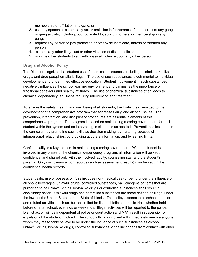membership or affiliation in a gang; or

- 2. use any speech or commit any act or omission in furtherance of the interest of any gang or gang activity, including, but not limited to, soliciting others for membership in any gangs;
- 3. request any person to pay protection or otherwise intimidate, harass or threaten any person;
- 4. commit any other illegal act or other violation of district policies,
- 5. or incite other students to act with physical violence upon any other person.

#### <span id="page-18-0"></span>**Drug and Alcohol Policy**

The District recognizes that student use of chemical substances, including alcohol, look-alike drugs, and drug paraphernalia is illegal. The use of such substances is detrimental to individual development and undermines effective education. Student involvement in such substances negatively influences the school learning environment and diminishes the importance of traditional behaviors and healthy attitudes. The use of chemical substances often leads to chemical dependency, an illness requiring intervention and treatment.

To ensure the safety, health, and well being of all students, the District is committed to the development of a comprehensive program that addresses drug and alcohol issues. The prevention, intervention, and disciplinary procedures are essential elements of this comprehensive program. The program is based on maintaining a caring environment for each student within the system and on intervening in situations as needed. Prevention is instituted in the curriculum by promoting such skills as decision-making, by nurturing successful interpersonal relationships, by providing accurate information, and by setting limits.

Confidentiality is a key element in maintaining a caring environment. When a student is involved in any phase of the chemical dependency program, all information will be kept confidential and shared only with the involved faculty, counseling staff and the student's parents. Only disciplinary action records (such as assessment results) may be kept in the confidential health records.

Student sale, use or possession (this includes non-medical use) or being under the influence of alcoholic beverages, unlawful drugs, controlled substances, hallucinogens or items that are purported to be unlawful drugs, look-alike drugs or controlled substances shall result in disciplinary action. Unlawful drugs and controlled substances are those defined as illegal under the laws of the United States, or the State of Illinois. This policy extends to all school-sponsored and related activities such as, but not limited to: field, athletic and music trips, whether held before or after school, evenings or weekends. Illegal activities will be reported to the police. District action will be independent of police or court action and MAY result in suspension or expulsion of the student involved. The school officials involved will immediately remove anyone whom they reasonably believe to be under the influence of such substances as alcohol, unlawful drugs, look-alike drugs, controlled substances, or hallucinogens from contact with other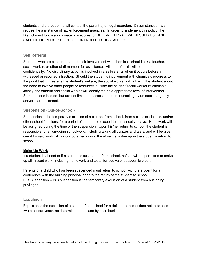students and thereupon, shall contact the parent(s) or legal guardian. Circumstances may require the assistance of law enforcement agencies. In order to implement this policy, the District must follow appropriate procedures for SELF-REFERRAL, WITNESSED USE AND SALE OF OR POSSESSION OF CONTROLLED SUBSTANCES.

#### <span id="page-19-0"></span>**Self Referral**

Students who are concerned about their involvement with chemicals should ask a teacher, social worker, or other staff member for assistance. All self-referrals will be treated confidentially. No disciplinary action is involved in a self-referral when it occurs before a witnessed or reported infraction. Should the student's involvement with chemicals progress to the point that it threatens the student's welfare, the social worker will talk with the student about the need to involve other people or resources outside the student/social worker relationship. Jointly, the student and social worker will identify the next appropriate level of intervention. Some options include, but are not limited to: assessment or counseling by an outside agency and/or, parent contact.

#### <span id="page-19-1"></span>**Suspension (Out-of-School)**

Suspension is the temporary exclusion of a student from school, from a class or classes, and/or other school functions, for a period of time not to exceed ten consecutive days. Homework will be assigned during the time of the suspension. Upon his/her return to school, the student is responsible for all on-going schoolwork, including taking all quizzes and tests, and will be given credit for said work. Any work obtained during the absence is due upon the student's return to school.

#### **Make-Up Work**

If a student is absent or if a student is suspended from school, he/she will be permitted to make up all missed work, including homework and tests, for equivalent academic credit.

Parents of a child who has been suspended must return to school with the student for a conference with the building principal prior to the return of the student to school. Bus Suspension – Bus suspension is the temporary exclusion of a student from bus riding privileges.

#### <span id="page-19-2"></span>**Expulsion**

Expulsion is the exclusion of a student from school for a definite period of time not to exceed two calendar years, as determined on a case by case basis.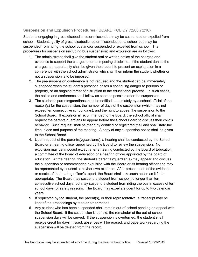# <span id="page-20-0"></span>**Suspension and Expulsion Procedures** ( BOARD POLICY 7:200,7:210)

Students engaging in gross disobedience or misconduct may be suspended or expelled from school. Students guilty of gross disobedience or misconduct on a school bus may be suspended from riding the school bus and/or suspended or expelled from school. The procedures for suspension (including bus suspension) and expulsion are as follows:

- 1. The administrator shall give the student oral or written notice of the charges and evidence to support the charges prior to imposing discipline. If the student denies the charges, an opportunity shall be given the student to present an explanation in a conference with the school administrator who shall then inform the student whether or not a suspension is to be imposed.
- 2. The pre-suspension conference is not required and the student can be immediately suspended when the student's presence poses a continuing danger to persons or property, or an ongoing threat of disruption to the educational process. In such cases, the notice and conference shall follow as soon as possible after the suspension.
- 3. The student's parents/guardians must be notified immediately by a school official of the reason(s) for the suspension, the number of days of the suspension (which may not exceed ten consecutive school days), and the right to appeal the suspension to the School Board. If expulsion is recommended to the Board, the school official shall request the parents/guardians to appear before the School Board to discuss their child's behavior. Such request shall be made by certified or registered mail and shall state the time, place and purpose of the meeting. A copy of any suspension notice shall be given to the School Board.
- 4. Upon request of the parent(s)/guardian(s), a hearing shall be conducted by the School Board or a hearing officer appointed by the Board to review the suspension. No expulsion may be imposed except after a hearing conducted by the Board of Education, a committee of the board of education or a hearing officer appointed by the board of education. At the hearing, the student's parent(s)/guardian(s) may appear and discuss the suspension or recommended expulsion with the Board or its hearing officer and may be represented by counsel at his/her own expense. After presentation of the evidence or receipt of the hearing officer's report, the Board shall take such action as it finds appropriate. The Board may suspend a student from school no longer than ten consecutive school days, but may suspend a student from riding the bus in excess of ten school days for safety reasons. The Board may expel a student for up to two calendar years.
- 5. If requested by the student, the parent(s), or their representative, a transcript may be kept of the proceedings by tape or other means.
- 6. Any student who has been suspended shall remain out-of-school pending an appeal with the School Board. If the suspension is upheld, the remainder of the out-of-school suspension days will be served. If the suspension is overturned, the student shall receive credit for days missed, absences will be erased, and paperwork regarding the suspension will be deleted from the record.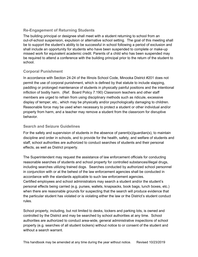### <span id="page-21-0"></span>**Re-Engagement of Returning Students**

The building principal or designee shall meet with a student returning to school from an out-of-school suspension, expulsion or alternative school setting. The goal of this meeting shall be to support the student's ability to be successful in school following a period of exclusion and shall include an opportunity for students who have been suspended to complete or make-up missed work for equivalent academic credit. Parents of a child who has been suspended may be required to attend a conference with the building principal prior to the return of the student to school.

#### <span id="page-21-1"></span>**Corporal Punishment**

In accordance with Section 24-24 of the Illinois School Code, Minooka District #201 does not permit the use of corporal punishment, which is defined by that statute to include slapping, paddling or prolonged maintenance of students in physically painful positions and the intentional infliction of bodily harm. (Ref. Board Policy 7:190) Classroom teachers and other staff members are urged to refrain from using disciplinary methods such as ridicule, excessive display of temper, etc., which may be physically and/or psychologically damaging to children. Reasonable force may be used when necessary to protect a student or other individual and/or property from harm, and a teacher may remove a student from the classroom for disruptive behavior.

#### <span id="page-21-2"></span>**Search and Seizure Guidelines**

For the safety and supervision of students in the absence of parent(s)/guardian(s), to maintain discipline and order in schools, and to provide for the health, safety, and welfare of students and staff, school authorities are authorized to conduct searches of students and their personal effects, as well as District property.

The Superintendent may request the assistance of law enforcement officials for conducting reasonable searches of students and school property for controlled substances/illegal drugs, including searches utilizing trained dogs. Searches conducted by authorized school personnel in conjunction with or at the behest of the law enforcement agencies shall be conducted in accordance with the standards applicable to such law enforcement agencies. Certified employees and school administrators may search a student and/or the student's personal effects being carried (e.g. purses, wallets, knapsacks, book bags, lunch boxes, etc.) when there are reasonable grounds for suspecting that the search will produce evidence that the particular student has violated or is violating either the law or the District's student conduct rules.

School property, including, but not limited to desks, lockers and parking lots, is owned and controlled by the District and may be searched by school authorities at any time. School authorities are authorized to conduct area-wide, general administrative inspections of school property (e.g. searches of all student lockers) without notice to or consent of the student and without a search warrant.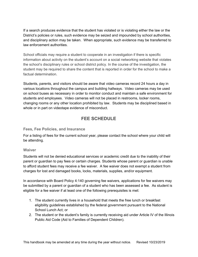If a search produces evidence that the student has violated or is violating either the law or the District's policies or rules, such evidence may be seized and impounded by school authorities, and disciplinary action may be taken. When appropriate, such evidence may be transferred to law enforcement authorities.

School officials may require a student to cooperate in an investigation if there is specific information about activity on the student's account on a social networking website that violates the school's disciplinary rules or school district policy. In the course of the investigation, the student may be required to share the content that is reported in order for the school to make a factual determination.

Students, parents, and visitors should be aware that video cameras record 24 hours a day in various locations throughout the campus and building hallways. Video cameras may be used on school buses as necessary in order to monitor conduct and maintain a safe environment for students and employees. Video cameras will not be placed in restrooms, locker rooms, changing rooms or any other location prohibited by law. Students may be disciplined based in whole or in part on videotape evidence of misconduct.

# **FEE SCHEDULE**

#### <span id="page-22-1"></span><span id="page-22-0"></span>**Fees, Fee Policies, and Insurance**

For a listing of fees for the current school year, please contact the school where your child will be attending.

#### <span id="page-22-2"></span>**Waiver**

Students will not be denied educational services or academic credit due to the inability of their parent or guardian to pay fees or certain charges. Students whose parent or guardian is unable to afford student fees may receive a fee waiver. A fee waiver does not exempt a student from charges for lost and damaged books, locks, materials, supplies, and/or equipment.

In accordance with Board Policy 4:140 governing fee waivers, applications for fee waivers may be submitted by a parent or guardian of a student who has been assessed a fee. As student is eligible for a fee waiver if at least one of the following prerequisites is met:

- 1. The student currently lives in a household that meets the free lunch or breakfast eligibility guidelines established by the federal government pursuant to the National School Lunch Act; or
- 2. The student or the student's family is currently receiving aid under Article IV of the Illinois Public Aid Code (Aid to Families of Dependent Children).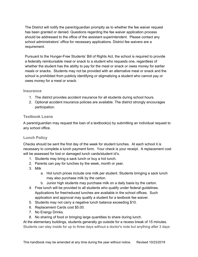The District will notify the parent/guardian promptly as to whether the fee waiver request has been granted or denied. Questions regarding the fee waiver application process should be addressed to the office of the assistant superintendent. Please contact any school administrators' office for necessary applications. District fee waivers are a requirement.

Pursuant to the Hunger-Free Students' Bill of Rights Act, the school is required to provide a federally reimbursable meal or snack to a student who requests one, regardless of whether the student has the ability to pay for the meal or snack or owes money for earlier meals or snacks. Students may not be provided with an alternative meal or snack and the school is prohibited from publicly identifying or stigmatizing a student who cannot pay or owes money for a meal or snack.

#### <span id="page-23-0"></span>**Insurance**

- 1. The district provides accident insurance for all students during school hours.
- 2. Optional accident insurance policies are available. The district strongly encourages participation.

#### <span id="page-23-1"></span>**Textbook Loans**

A parent/guardian may request the loan of a textbook(s) by submitting an individual request to any school office.

#### <span id="page-23-2"></span>**Lunch Policy**

Checks should be sent the first day of the week for student lunches. At each school it is necessary to complete a lunch payment form. Your check is your receipt. A replacement cost will be assessed for lost or damaged lunch cards/student id's.

- 1. Students may bring a sack lunch or buy a hot lunch.
- 2. Parents can pay for lunches by the week, month or year.
- 3. Milk
	- a. Hot lunch prices include one milk per student. Students bringing a sack lunch may also purchase milk by the carton.
	- b. Junior high students may purchase milk on a daily basis by the carton.
- 4. Free lunch will be provided to all students who qualify under federal guidelines. Applications for free/reduced lunches are available in the school offices. Such application and approval may qualify a student for a textbook fee waiver.
- 5. Students may not carry a negative lunch balance exceeding \$10.
- 6. Replacement Cards cost \$5.00.
- 7. No Energy Drinks.
- 8. No sharing of food or bringing large quantities to share during lunch.

At the elementary buildings, students generally go outside for a recess break of 15 minutes. Students can stay inside for up to three days without a doctor's note but anything after 3 days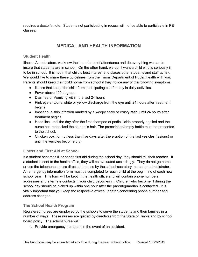<span id="page-24-0"></span>requires a doctor's note. Students not participating in recess will not be able to participate in PE classes.

# **MEDICAL AND HEALTH INFORMATION**

#### <span id="page-24-1"></span>**Student Health**

Illness: As educators, we know the importance of attendance and do everything we can to insure that students are in school. On the other hand, we don't want a child who is seriously ill to be in school. It is not in that child's best interest and places other students and staff at risk. We would like to share these guidelines from the Illinois Department of Public Health with you. Parents should keep their child home from school if they notice any of the following symptoms:

- Illness that keeps the child from participating comfortably in daily activities.
- Fever above 100 degrees
- Diarrhea or Vomiting within the last 24 hours
- Pink eye and/or a white or yellow discharge from the eye until 24 hours after treatment begins.
- Impetigo, a skin infection marked by a weepy scaly or crusty rash, until 24 hours after treatment begins.
- Head lice, until the day after the first shampoo of pediculicide properly applied and the nurse has rechecked the student's hair. The prescription/empty bottle must be presented to the school.
- Chicken pox, for not less than five days after the eruption of the last vesicles (lesions) or until the vesicles become dry.

### <span id="page-24-2"></span>**Illness and First Aid at School**

If a student becomes ill or needs first aid during the school day, they should tell their teacher. If a student is sent to the health office, they will be evaluated accordingly. They do not go home or use the telephone unless directed to do so by the school secretary, nurse, or administrator. An emergency information form must be completed for each child at the beginning of each new school year. This form will be kept in the health office and will contain phone numbers, addresses and alternate contacts if your child becomes ill. Children who become ill during the school day should be picked up within one hour after the parent/guardian is contacted. It is vitally important that you keep the respective offices updated concerning phone number and address changes.

### <span id="page-24-3"></span>**The School Health Program**

Registered nurses are employed by the schools to serve the students and their families in a number of ways. These nurses are guided by directives from the State of Illinois and by school board policy. The school nurse will:

1. Provide emergency treatment in the event of an accident.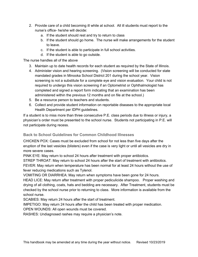- 2. Provide care of a child becoming ill while at school. All ill students must report to the nurse's office- he/she will decide:
	- a. If the student should rest and try to return to class
	- b. If the student should go home. The nurse will make arrangements for the student to leave.
	- c. If the student is able to participate in full school activities.
	- d. If the student is able to go outside.

The nurse handles all of the above

- 3. Maintain up to date health records for each student as required by the State of Illinois.
- 4. Administer vision and hearing screening. (Vision screening will be conducted for state mandated grades in Minooka School District 201 during the school year. Vision screening is not a substitute for a complete eye and vision evaluation. Your child is not required to undergo this vision screening if an Optometrist or Ophthalmologist has completed and signed a report form indicating that an examination has been administered within the previous 12 months and on file at the school.)
- 5. Be a resource person to teachers and students.
- 6. Collect and provide student information on reportable diseases to the appropriate local Health Department per IDPH guidelines.

If a student is to miss more than three consecutive P.E. class periods due to illness or injury, a physician's order must be presented to the school nurse. Students not participating in P.E. will not participate during recess.

### <span id="page-25-0"></span>**Back to School Guidelines for Common Childhood Illnesses**

CHICKEN POX: Cases must be excluded from school for not less than five days after the eruption of the last vesicles (blisters) even if the case is very light or until all vesicles are dry in more severe cases.

PINK EYE: May return to school 24 hours after treatment with proper antibiotics.

STREP THROAT: May return to school 24 hours after the start of treatment with antibiotics. FEVER: May return when temperature has been normal for at least 24 hours without the use of fever reducing medications such as Tylenol.

VOMITING OR DIARRHEA: May return when symptoms have been gone for 24 hours.

HEAD LICE: May return after treatment with proper pediculicide shampoo. Proper washing and drying of all clothing, coats, hats and bedding are necessary. After Treatment, students must be checked by the school nurse prior to returning to class. More information is available from the school nurse.

SCABIES: May return 24 hours after the start of treatment.

IMPETIGO: May return 24 hours after the child has been treated with proper medication.

OPEN WOUNDS: All open wounds must be covered.

RASHES: Undiagnosed rashes may require a physician's note.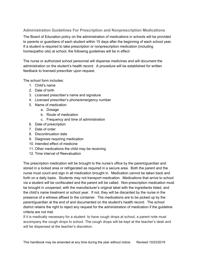# <span id="page-26-0"></span>**Administration Guidelines For Prescription and Nonprescription Medications**

The Board of Education policy on the administration of medications in schools will be provided to parents or guardians of each student within 15 days after the beginning of each school year. If a student is required to take prescription or nonprescription medication (including homeopathic oils) at school, the following guidelines will be in effect:

The nurse or authorized school personnel will dispense medicines and will document the administration on the student's health record. A procedure will be established for written feedback to licensed prescriber upon request.

The school form includes:

- 1. Child's name
- 2. Date of birth
- 3. Licensed prescriber's name and signature
- 4. Licensed prescriber's phone/emergency number
- 5. Name of medication
	- a. Dosage
	- b. Route of medication
	- c. Frequency and time of administration
- 6. Date of prescription
- 7. Date of order
- 8. Discontinuation date
- 9. Diagnosis requiring medication
- 10. Intended effect of medicine
- 11. Other medications the child may be receiving
- 12. Time interval of Reevaluation

The prescription medication will be brought to the nurse's office by the parent/guardian and stored in a locked area or refrigerated as required in a secure area. Both the parent and the nurse must count and sign in all medication brought in. Medication cannot be taken back and forth on a daily basis. Students may not transport medication. Medications that arrive to school via a student will be confiscated and the parent will be called. Non-prescription medication must be brought in unopened, with the manufacturer's original label with the ingredients listed, and the child's name treatment or school year. If not, they will be discarded by the nurse in the presence of a witness affixed to the container. The medications are to be picked up by the parent/guardian at the end of and documented on the student's health record. The school district retains the right to reject any request for the administration of medication if the guideline criteria are not met.

If it is medically necessary for a student to have cough drops at school, a parent note must accompany the cough drops to school. The cough drops will be kept at the teacher's desk and will be dispensed at the teacher's discretion.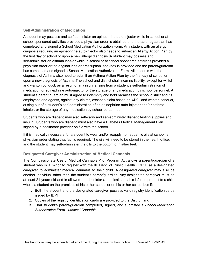### <span id="page-27-0"></span>**Self-Administration of Medication**

A student may possess and self-administer an epinephrine auto-injector while in school or at school sponsored activities provided a physician order is obtained and the parent/guardian has completed and signed a School Medication Authorization Form. Any student with an allergy diagnosis requiring an epinephrine auto-injector also needs to submit an Allergy Action Plan by the first day of school or upon a new allergy diagnosis. A student may possess and self-administer an asthma inhaler while in school or at school sponsored activities provided a physician order or the original inhaler prescription label/box is provided and the parent/guardian has completed and signed a School Medication Authorization Form. All students with the diagnosis of Asthma also need to submit an Asthma Action Plan by the first day of school or upon a new diagnosis of Asthma.The school and district shall incur no liability, except for willful and wanton conduct, as a result of any injury arising from a student's self-administration of medication or epinephrine auto-injector or the storage of any medication by school personnel. A student's parent/guardian must agree to indemnify and hold harmless the school district and its employees and agents, against any claims, except a claim based on willful and wanton conduct, arising out of a student's self-administration of an epinephrine auto-injector and/or asthma inhaler, or the storage of any medication by school personnel.

Students who are diabetic may also self-carry and self-administer diabetic testing supplies and insulin. Students who are diabetic must also have a Diabetes Medical Management Plan signed by a healthcare provider on file with the school.

If it is medically necessary for a student to wear and/or reapply homeopathic oils at school, a physician order stating that fact is required. The oils will need to be stored in the health office, and the student may self-administer the oils to the bottom of his/her feet.

#### <span id="page-27-1"></span>**Designated Caregiver Administration of Medical Cannabis**

The Compassionate Use of Medical Cannabis Pilot Program Act allows a parent/guardian of a student who is a minor to register with the Ill. Dept. of Public Health (IDPH) as a designated caregiver to administer medical cannabis to their child. A designated caregiver may also be another individual other than the student's parent/guardian. Any designated caregiver must be at least 21 years old and is allowed to administer a medical cannabis infused product to a child who is a student on the premises of his or her school or on his or her school bus if:

- 1. Both the student and the designated caregiver possess valid registry identification cards issued by IDPH;
- 2. Copies of the registry identification cards are provided to the District; and
- 3. That student's parent/guardian completed, signed, and submitted a *School Medication Authorization Form - Medical Cannabis*.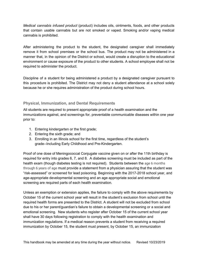*Medical cannabis infused product* (product) includes oils, ointments, foods, and other products that contain usable cannabis but are not smoked or vaped. Smoking and/or vaping medical cannabis is prohibited.

After administering the product to the student, the designated caregiver shall immediately remove it from school premises or the school bus. The product may not be administered in a manner that, in the opinion of the District or school, would create a disruption to the educational environment or cause exposure of the product to other students. A school employee shall not be required to administer the product.

Discipline of a student for being administered a product by a designated caregiver pursuant to this procedure is prohibited. The District may not deny a student attendance at a school solely because he or she requires administration of the product during school hours.

### <span id="page-28-0"></span>**Physical, Immunization, and Dental Requirements**

All students are required to present appropriate proof of a health examination and the immunizations against, and screenings for, preventable communicable diseases within one year prior to:

- 1. Entering kindergarten or the first grade;
- 2. Entering the sixth grade; and
- 3. Enrolling in an Illinois school for the first time, regardless of the student's grade--Including Early Childhood and Pre-Kindergarten.

Proof of one dose of Meningococcal Conjugate vaccine given on or after the 11th birthday is required for entry into grades 6, 7, and 8. A diabetes screening must be included as part of the health exam (though diabetes testing is not required). Students between the age 6 months through 6 years of age must provide a statement from a physician assuring that the student was "risk-assessed" or screened for lead poisoning. Beginning with the 2017-2018 school year, and age-appropriate developmental screening and an age appropriate social and emotional screening are required parts of each health examination.

Unless an exemption or extension applies, the failure to comply with the above requirements by October 15 of the current school year will result in the student's exclusion from school until the required health forms are presented to the District. A student will not be excluded from school due to his or her parent/guardian's failure to obtain a developmental screening or a social and emotional screening. New students who register after October 15 of the current school year shall have 30 days following registration to comply with the health examination and immunization regulations. If a medical reason prevents a student from receiving a required immunization by October 15, the student must present, by October 15, an immunization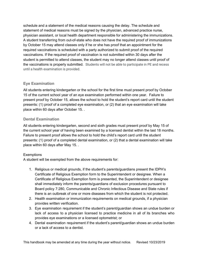schedule and a statement of the medical reasons causing the delay. The schedule and statement of medical reasons must be signed by the physician, advanced practice nurse, physician assistant, or local health department responsible for administering the immunizations. A student transferring from out-of-state who does not have the required proof of immunizations by October 15 may attend classes only if he or she has proof that an appointment for the required vaccinations is scheduled with a party authorized to submit proof of the required vaccinations. If the required proof of vaccination is not submitted within 30 days after the student is permitted to attend classes, the student may no longer attend classes until proof of the vaccinations is properly submitted. Students will not be able to participate in PE and recess until a health examination is provided.

### <span id="page-29-0"></span>**Eye Examination**

All students entering kindergarten or the school for the first time must present proof by October 15 of the current school year of an eye examination performed within one year. Failure to present proof by October 15, allows the school to hold the student's report card until the student presents: (1) proof of a completed eye examination, or (2) that an eye examination will take place within 60 days after October 15. .

## <span id="page-29-1"></span>**Dental Examination**

All students entering kindergarten, second and sixth grades must present proof by May 15 of the current school year of having been examined by a licensed dentist within the last 18 months. Failure to present proof allows the school to hold the child's report card until the student presents: (1) proof of a completed dental examination, or (2) that a dental examination will take place within 60 days after May 15. .

### **Exemptions**

A student will be exempted from the above requirements for:

- 1. Religious or medical grounds, if the student's parents/guardians present the IDPH's Certificate of Religious Exemption form to the Superintendent or designee. When a Certificate of Religious Exemption form is presented, the Superintendent or designee shall immediately inform the parents/guardians of exclusion procedures pursuant to Board policy 7:280, Communicable and Chronic Infectious Disease and State rules if there is an outbreak of one or more diseases from which the student is not protected.
- 2. Health examination or immunization requirements on medical grounds, if a physician provides written verification.
- 3. Eye examination requirement if the student's parent/guardian shows an undue burden or lack of access to a physician licensed to practice medicine in all of its branches who provides eye examinations or a licensed optometrist; or
- 4. Dental examination requirement if the student's parent/guardian shows an undue burden or a lack of access to a dentist.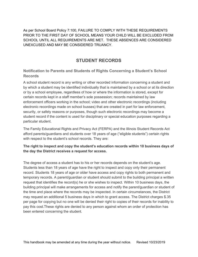As per School Board Policy 7:100, FAILURE TO COMPLY WITH THESE REQUIREMENTS PRIOR TO THE FIRST DAY OF SCHOOL MEANS YOUR CHILD WILL BE EXCLUDED FROM SCHOOL UNTIL ALL REQUIREMENTS ARE MET. THESE ABSENCES ARE CONSIDERED UNEXCUSED AND MAY BE CONSIDERED TRUANCY.

# **STUDENT RECORDS**

## <span id="page-30-1"></span><span id="page-30-0"></span>**Notification to Parents and Students of Rights Concerning a Student's School Records**

A school student record is any writing or other recorded information concerning a student and by which a student may be identified individually that is maintained by a school or at its direction or by a school employee, regardless of how or where the information is stored, except for certain records kept in a staff member's sole possession; records maintained by law enforcement officers working in the school; video and other electronic recordings (including electronic recordings made on school busses) that are created in part for law enforcement, security, or safety reasons or purposes, though such electronic recordings may become a student record if the content is used for disciplinary or special education purposes regarding a particular student.

The Family Educational Rights and Privacy Act (FERPA) and the Illinois Student Records Act afford parents/guardians and students over 18 years of age ("eligible students") certain rights with respect to the student's school records. They are:

#### **The right to inspect and copy the student's education records within 10 business days of the day the District receives a request for access.**

The degree of access a student has to his or her records depends on the student's age. Students less than 18 years of age have the right to inspect and copy only their permanent record. Students 18 years of age or older have access and copy rights to both permanent and temporary records. A parent/guardian or student should submit to the building principal a written request that identifies the record(s) he or she wishes to inspect. Within 10 business days, the building principal will make arrangements for access and notify the parent/guardian or student of the time and place where the records may be inspected. In certain circumstances, the District may request an additional 5 business days in which to grant access. The District charges \$.35 per page for copying but no one will be denied their right to copies of their records for inability to pay this cost.These rights are denied to any person against whom an order of protection has been entered concerning the student.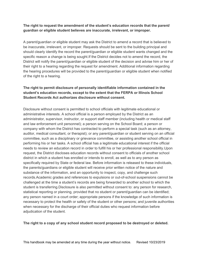#### **The right to request the amendment of the student's education records that the parent/ guardian or eligible student believes are inaccurate, irrelevant, or improper.**

A parent/guardian or eligible student may ask the District to amend a record that is believed to be inaccurate, irrelevant, or improper. Requests should be sent to the building principal and should clearly identify the record the parent/guardian or eligible student wants changed and the specific reason a change is being sought.If the District decides not to amend the record, the District will notify the parent/guardian or eligible student of the decision and advise him or her of their right to a hearing regarding the request for amendment. Additional information regarding the hearing procedures will be provided to the parent/guardian or eligible student when notified of the right to a hearing.

#### **The right to permit disclosure of personally identifiable information contained in the student's education records, except to the extent that the FERPA or Illinois School Student Records Act authorizes disclosure without consent.**

Disclosure without consent is permitted to school officials with legitimate educational or administrative interests. A school official is a person employed by the District as an administrator, supervisor, instructor, or support staff member (including health or medical staff and law enforcement unit personnel); a person serving on the School Board; a person or company with whom the District has contracted to perform a special task (such as an attorney, auditor, medical consultant, or therapist); or any parent/guardian or student serving on an official committee, such as a disciplinary or grievance committee, or assisting another school official in performing his or her tasks. A school official has a legitimate educational interest if the official needs to review an education record in order to fulfill his or her professional responsibility.Upon request, the District discloses education records without consent to officials of another school district in which a student has enrolled or intends to enroll, as well as to any person as specifically required by State or federal law. Before information is released to these individuals, the parents/guardians or eligible student will receive prior written notice of the nature and substance of the information, and an opportunity to inspect, copy, and challenge such records.Academic grades and references to expulsions or out-of-school suspensions cannot be challenged at the time a student's records are being forwarded to another school to which the student is transferring.Disclosure is also permitted without consent to: any person for research, statistical reporting or planning, provided that no student or parent/guardian can be identified; any person named in a court order; appropriate persons if the knowledge of such information is necessary to protect the health or safety of the student or other persons; and juvenile authorities when necessary for the discharge of their official duties who request information before adjudication of the student.

#### **The right to a copy of any school student record proposed to be destroyed or deleted.**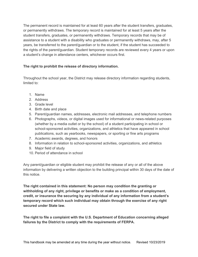The permanent record is maintained for at least 60 years after the student transfers, graduates, or permanently withdraws. The temporary record is maintained for at least 5 years after the student transfers, graduates, or permanently withdraws. Temporary records that may be of assistance to a student with a disability who graduates or permanently withdraws, may, after 5 years, be transferred to the parent/guardian or to the student, if the student has succeeded to the rights of the parent/guardian. Student temporary records are reviewed every 4 years or upon a student's change in attendance centers, whichever occurs first.

#### **The right to prohibit the release of directory information.**

Throughout the school year, the District may release directory information regarding students, limited to:

- 1. Name
- 2. Address
- 3. Grade level
- 4. Birth date and place
- 5. Parent/guardian names, addresses, electronic mail addresses, and telephone numbers
- 6. Photographs, videos, or digital images used for informational or news-related purposes (whether by a media outlet or by the school) of a student participating in school or school-sponsored activities, organizations, and athletics that have appeared in school publications, such as yearbooks, newspapers, or sporting or fine arts programs
- 7. Academic awards, degrees, and honors
- 8. Information in relation to school-sponsored activities, organizations, and athletics
- 9. Major field of study
- 10. Period of attendance in school

Any parent/guardian or eligible student may prohibit the release of any or all of the above information by delivering a written objection to the building principal within 30 days of the date of this notice.

**The right contained in this statement: No person may condition the granting or withholding of any right, privilege or benefits or make as a condition of employment, credit, or insurance the securing by any individual of any information from a student's temporary record which such individual may obtain through the exercise of any right secured under State law.**

**The right to file a complaint with the U.S. Department of Education concerning alleged failures by the District to comply with the requirements of FERPA.**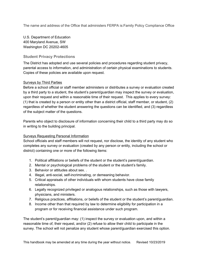The name and address of the Office that administers FERPA is:Family Policy Compliance Office

U.S. Department of Education 400 Maryland Avenue, SW Washington DC 20202-4605

#### <span id="page-33-0"></span>**Student Privacy Protections**

The District has adopted and use several policies and procedures regarding student privacy, parental access to information, and administration of certain physical examinations to students. Copies of these policies are available upon request.

#### Surveys by Third Parties

Before a school official or staff member administers or distributes a survey or evaluation created by a third party to a student, the student's parent/guardian may inspect the survey or evaluation, upon their request and within a reasonable time of their request. This applies to every survey: (1) that is created by a person or entity other than a district official, staff member, or student, (2) regardless of whether the student answering the questions can be identified, and (3) regardless of the subject matter of the questions.

Parents who object to disclosure of information concerning their child to a third party may do so in writing to the building principal.

#### Surveys Requesting Personal Information

School officials and staff members will not request, nor disclose, the identity of any student who completes any survey or evaluation (created by any person or entity, including the school or district) containing one or more of the following items:

- 1. Political affiliations or beliefs of the student or the student's parent/guardian.
- 2. Mental or psychological problems of the student or the student's family.
- 3. Behavior or attitudes about sex. .
- 4. Illegal, anti-social, self-incriminating, or demeaning behavior.
- 5. Critical appraisals of other individuals with whom students have close family relationships.
- 6. Legally recognized privileged or analogous relationships, such as those with lawyers, physicians, and ministers.
- 7. Religious practices, affiliations, or beliefs of the student or the student's parent/guardian.
- 8. Income other than that required by law to determine eligibility for participation in a program or for receiving financial assistance under such program.

The student's parent/guardian may: (1) inspect the survey or evaluation upon, and within a reasonable time of, their request, and/or (2) refuse to allow their child to participate in the survey. The school will not penalize any student whose parent/guardian exercised this option.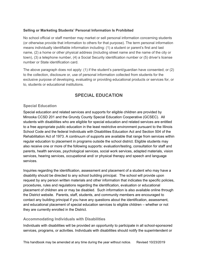#### **Selling or Marketing Students' Personal Information Is Prohibited**

No school official or staff member may market or sell personal information concerning students (or otherwise provide that information to others for that purpose). The term personal information means individually identifiable information including: (1) a student or parent's first and last name, (2) a home or other physical address (including street name and the name of the city or town), (3) a telephone number, (4) a Social Security identification number or (5) driver's license number or State identification card.

The above paragraph does not apply: (1) if the student's parent/guardian have consented; or (2) to the collection, disclosure or, use of personal information collected from students for the exclusive purpose of developing, evaluating or providing educational products or services for, or to, students or educational institutions.

# **SPECIAL EDUCATION**

#### <span id="page-34-1"></span><span id="page-34-0"></span>**Special Education**

Special education and related services and supports for eligible children are provided by Minooka CCSD 201 and the Grundy County Special Education Cooperative (GCSEC). All students with disabilities who are eligible for special education and related services are entitled to a free appropriate public education in the least restrictive environment pursuant to the Illinois School Code and the federal Individuals with Disabilities Education Act and Section 504 of the Rehabilitation Act of 1973. A continuum of supports are available that range from services within regular education to placement in programs outside the school district. Eligible students may also receive one or more of the following supports: evaluation/testing, consultation for staff and parents, health services, psychological services, social work services, adapted materials, vision services, hearing services, occupational and/ or physical therapy and speech and language services.

Inquiries regarding the identification, assessment and placement of a student who may have a disability should be directed to any school building principal. The school will provide upon request by any person written materials and other information that indicates the specific policies, procedures, rules and regulations regarding the identification, evaluation or educational placement of children are or may be disabled. Such information is also available online through the District website. Parents, staff, students, and community members are encouraged to contact any building principal if you have any questions about the identification, assessment, and educational placement of special education services to eligible children – whether or not they are currently enrolled in the District.

#### <span id="page-34-2"></span>**Accommodating Individuals with Disabilities**

Individuals with disabilities will be provided an opportunity to participate in all school-sponsored services, programs, or activities. Individuals with disabilities should notify the superintendent or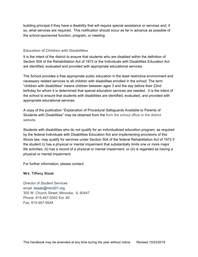building principal if they have a disability that will require special assistance or services and, if so, what services are required. This notification should occur as far in advance as possible of the school-sponsored function, program, or meeting.

#### <span id="page-35-0"></span>**Education of Children with Disabilities**

It is the intent of the district to ensure that students who are disabled within the definition of Section 504 of the Rehabilitation Act of 1973 or the Individuals with Disabilities Education Act are identified, evaluated and provided with appropriate educational services.

The School provides a free appropriate public education in the least restrictive environment and necessary related services to all children with disabilities enrolled in the school. The term "children with disabilities" means children between ages 3 and the day before their 22nd birthday for whom it is determined that special education services are needed. It is the intent of the school to ensure that students with disabilities are identified, evaluated, and provided with appropriate educational services.

A copy of the publication "Explanation of Procedural Safeguards Available to Parents of Students with Disabilities" may be obtained from the from the school office or the district website.

Students with disabilities who do not qualify for an individualized education program, as required by the federal Individuals with Disabilities Education Act and implementing provisions of this Illinois law, may qualify for services under Section 504 of the federal Rehabilitation Act of 1973 if the student (i) has a physical or mental impairment that substantially limits one or more major life activities, (ii) has a record of a physical or mental impairment, or (iii) is regarded as having a physical or mental impairment.

For further information, please contact:

#### **Mrs. Tiffany Staab**

Director of Student Services email: tstaab@min201.org 305 W. Church Street, Minooka, IL 60447 Phone: 815-467-5042 Ext. #2 Fax: 815-467-9544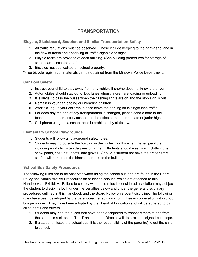# **TRANSPORTATION**

<span id="page-36-1"></span><span id="page-36-0"></span>**Bicycle, Skateboard, Scooter, and Similar Transportation Safety**

- 1. All traffic regulations must be observed. These include keeping to the right-hand lane in the flow of traffic and observing all traffic signals and signs.
- 2. Bicycle racks are provided at each building. (See building procedures for storage of skateboards, scooters, etc)
- 3. Bicycles must be walked on school property.

\*Free bicycle registration materials can be obtained from the Minooka Police Department.

#### <span id="page-36-2"></span>**Car Pool Safety**

- 1. Instruct your child to stay away from any vehicle if she/he does not know the driver.
- 2. Automobiles should stay out of bus lanes when children are loading or unloading.
- 3. It is illegal to pass the buses when the flashing lights are on and the stop sign is out.
- 4. Remain in your car loading or unloading children.
- 5. After picking up your children, please leave the parking lot in single lane traffic.
- 6. For each day the end of day transportation is changed, please send a note to the teacher at the elementary school and the office at the intermediate or junior high.
- 7. Cell phone usage in a school zone is prohibited by state law.

### <span id="page-36-3"></span>**Elementary School Playgrounds**

- 1. Students will follow all playground safety rules.
- 2. Students may go outside the building in the winter months when the temperature, including wind chill is ten degrees or higher. Students should wear warm clothing, i.e. snow pants, coat, hat, boots, and gloves. Should a student not have the proper attire, she/he will remain on the blacktop or next to the building.

### <span id="page-36-4"></span>**School Bus Safety Procedures**

The following rules are to be observed when riding the school bus and are found in the Board Policy and Administrative Procedures on student discipline, which are attached to this Handbook as Exhibit A. Failure to comply with these rules is considered a violation may subject the student to discipline both under the penalties below and under the general disciplinary procedures outlined in this Handbook and the Board Policy on student discipline. The following rules have been developed by the parent-teacher advisory committee in cooperation with school bus personnel. They have been adopted by the Board of Education and will be adhered to by all students and drivers.

- 1. Students may ride the buses that have been designated to transport them to and from the student's residence. The Transportation Director will determine assigned bus stops.
- 2. If a student misses the school bus, it is the responsibility of the parent(s) to get the child to school.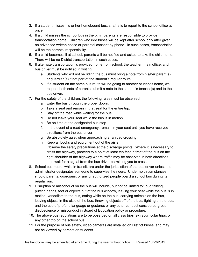- 3. If a student misses his or her homebound bus, she/he is to report to the school office at once.
- 4. If a child misses the school bus in the p.m., parents are responsible to provide transportation home. Children who ride buses will be kept after school only after given an advanced written notice or parental consent by phone. In such cases, transportation will be the parents' responsibility.
- 5. If a child becomes ill at school, parents will be notified and asked to take the child home. There will be no District transportation in such cases.
- 6. If alternate transportation is provided home from school, the teacher, main office, and bus driver must be notified in writing.
	- a. Students who will not be riding the bus must bring a note from his/her parent(s) or guardian(s) if not part of the student's regular route.
	- b. If a student on the same bus route will be going to another student's home, we request both sets of parents submit a note to the student's teacher(s) and to the bus driver.
- 7. For the safety of the children, the following rules must be observed:
	- a. Enter the bus through the proper doors.
	- b. Take a seat and remain in that seat for the entire trip.
	- c. Stay off the road while waiting for the bus.
	- d. Do not leave your seat while the bus is in motion.
	- e. Be on time at the designated bus stop.
	- f. In the event of a road emergency, remain in your seat until you have received directions from the bus driver.
	- g. Be absolutely quiet when approaching a railroad crossing.
	- h. Keep all books and equipment out of the aisle.
	- i. Observe the safety precautions at the discharge points. Where it is necessary to cross the highway, proceed to a point at least ten feet in front of the bus on the right shoulder of the highway where traffic may be observed in both directions, then wait for a signal from the bus driver permitting you to cross.
- 8. School bus riders, while in transit, are under the jurisdiction of the bus driver unless the administrator designates someone to supervise the riders. Under no circumstances should parents, guardians, or any unauthorized people board a school bus during its regular run.
- 9. Disruption or misconduct on the bus will include, but not be limited to: loud talking, putting hands, feet or objects out of the bus window, leaving your seat while the bus is in motion, vandalism to the bus, eating while on the bus, carrying animals on the bus, leaving objects in the aisle of the bus, throwing objects off of the bus, fighting on the bus, and the use of profane language or gestures or any other conduct considered gross disobedience or misconduct in Board of Education policy or procedure.
- 10. The above bus regulations are to be observed on all class trips, extracurricular trips, or any other trip on the school bus.
- 11. For the purpose of bus safety, video cameras are installed on District buses, and may not be viewed by parents or students.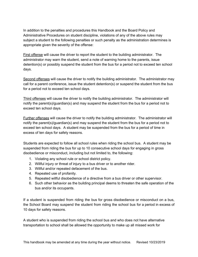In addition to the penalties and procedures this Handbook and the Board Policy and Administrative Procedures on student discipline, violations of any of the above rules may subject a student to the following penalties or such penalty as the administration determines is appropriate given the severity of the offense:

First offense will cause the driver to report the student to the building administrator. The administrator may warn the student, send a note of warning home to the parents, issue detention(s) or possibly suspend the student from the bus for a period not to exceed ten school days.

Second offenses will cause the driver to notify the building administrator. The administrator may call for a parent conference, issue the student detention(s) or suspend the student from the bus for a period not to exceed ten school days.

Third offenses will cause the driver to notify the building administrator. The administrator will notify the parent(s)/guardian(s) and may suspend the student from the bus for a period not to exceed ten school days.

Further offenses will cause the driver to notify the building administrator. The administrator will notify the parent(s)/guardian(s) and may suspend the student from the bus for a period not to exceed ten school days. A student may be suspended from the bus for a period of time in excess of ten days for safety reasons.

Students are expected to follow all school rules when riding the school bus. A student may be suspended from riding the bus for up to 10 consecutive school days for engaging in gross disobedience or misconduct, including but not limited to, the following:

- 1. Violating any school rule or school district policy.
- 2. Willful injury or threat of injury to a bus driver or to another rider.
- 3. Willful and/or repeated defacement of the bus.
- 4. Repeated use of profanity.
- 5. Repeated willful disobedience of a directive from a bus driver or other supervisor.
- 6. Such other behavior as the building principal deems to threaten the safe operation of the bus and/or its occupants.

If a student is suspended from riding the bus for gross disobedience or misconduct on a bus, the School Board may suspend the student from riding the school bus for a period in excess of 10 days for safety reasons.

A student who is suspended from riding the school bus and who does not have alternative transportation to school shall be allowed the opportunity to make up all missed work for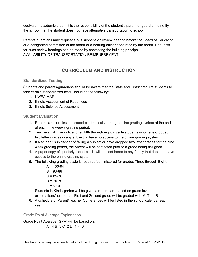equivalent academic credit. It is the responsibility of the student's parent or guardian to notify the school that the student does not have alternative transportation to school.

Parents/guardians may request a bus suspension review hearing before the Board of Education or a designated committee of the board or a hearing officer appointed by the board. Requests for such review hearings can be made by contacting the building principal. AVAILABILITY OF TRANSPORTATION REIMBURSEMENT

# **CURRICULUM AND INSTRUCTION**

### <span id="page-39-1"></span><span id="page-39-0"></span>**Standardized Testing**

Students and parents/guardians should be aware that the State and District require students to take certain standardized tests, including the following:

- 1. NWEA MAP
- 2. Illinois Assessment of Readiness
- 3. Illinois Science Assessment

# <span id="page-39-2"></span>**Student Evaluation**

- 1. Report cards are issued issued electronically through online grading system at the end of each nine weeks grading period.
- 2. Teachers will give notice for all fifth through eighth grade students who have dropped two letter grades in any subject or have no access to the online grading system.
- 3. If a student is in danger of failing a subject or have dropped two letter grades for the nine week grading period, the parent will be contacted prior to a grade being assigned.
- 4. A paper copy of quarterly report cards will be sent home to any family that does not have access to the online grading system.
- 5. The following grading scale is required/administered for grades Three through Eight:
	- $A = 100 94$  $B = 93 - 86$  $C = 85 - 76$  $D = 75 - 70$  $F = 69 - 0$

Students in Kindergarten will be given a report card based on grade level expectations/outcomes. First and Second grade will be graded with M, T, or B

6. A schedule of Parent/Teacher Conferences will be listed in the school calendar each year.

### <span id="page-39-3"></span>Grade Point Average Explanation

Grade Point Average (GPA) will be based on:  $A= 4 B=3 C=2 D=1 F=0$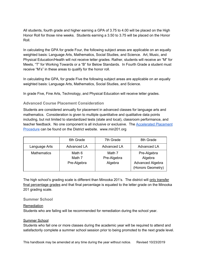All students, fourth grade and higher earning a GPA of 3.75 to 4.00 will be placed on the High Honor Roll for those nine weeks. Students earning a 3.50 to 3.75 will be placed on the Honor Roll.

In calculating the GPA for grade Four, the following subject areas are applicable on an equally weighted basis: Language Arts, Mathematics, Social Studies, and Science. Art, Music, and Physical Education/Health will not receive letter grades. Rather, students will receive an "M" for Meets, "T" for Working Towards or a "B" for Below Standards. In Fourth Grade a student must receive "M's" in these areas to qualify for the honor roll.

In calculating the GPA, for grade Five the following subject areas are applicable on an equally weighted basis: Language Arts, Mathematics, Social Studies, and Science.

<span id="page-40-0"></span>In grade Five, Fine Arts, Technology, and Physical Education will receive letter grades.

#### **Advanced Course Placement Consideration**

Students are considered annually for placement in advanced classes for language arts and mathematics. Consideration is given to multiple quantitative and qualitative data points including, but not limited to standardized tests (state and local), classroom performance, and teacher feedback. No one component is all inclusive or exclusive. The [Accelerated](https://docs.google.com/document/d/1WB0ZY-HDIeMW1d-1gpfFwCVGKdrMnDFY4JSJQ9qXPhw/edit#heading=h.3pqtu8xsdeu8) Placement [Procedure](https://docs.google.com/document/d/1WB0ZY-HDIeMW1d-1gpfFwCVGKdrMnDFY4JSJQ9qXPhw/edit#heading=h.3pqtu8xsdeu8) can be found on the District website. www.min201.org

|                    | 6th Grade                       | 7th Grade                        | 8th Grade                                                              |
|--------------------|---------------------------------|----------------------------------|------------------------------------------------------------------------|
| Language Arts      | <b>Advanced LA</b>              | <b>Advanced LA</b>               | <b>Advanced LA</b>                                                     |
| <b>Mathematics</b> | Math 6<br>Math 7<br>Pre-Algebra | Math 7<br>Pre-Algebra<br>Algebra | Pre-Algebra<br>Algebra<br><b>Advanced Algebra</b><br>(Honors Geometry) |

The high school's grading scale is different than Minooka 201's. The district will only transfer final percentage grades and that final percentage is equated to the letter grade on the Minooka 201 grading scale.

#### <span id="page-40-1"></span>**Summer School**

#### Remediation

Students who are failing will be recommended for remediation during the school year.

#### Summer School

Students who fail one or more classes during the academic year will be required to attend and satisfactorily complete a summer school session prior to being promoted to the next grade level.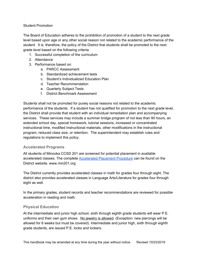#### Student Promotion

The Board of Education adheres to the prohibition of promotion of a student to the next grade level based upon age or any other social reason not related to the academic performance of the student. It is, therefore, the policy of the District that students shall be promoted to the next grade level based on the following criteria:

- 1. Successful completion of the curriculum
- 2. Attendance
- 3. Performance based on:
	- a. PARCC Assessment
	- b. Standardized achievement tests
	- c. Student's Individualized Education Plan
	- d. Teacher Recommendation
	- e. Quarterly Subject Tests
	- f. District Benchmark Assessment

Students shall not be promoted for purely social reasons not related to the academic performance of the students. If a student has not qualified for promotion to the next grade level, the District shall provide that student with an individual remediation plan and accompanying services. These services may include a summer bridge program of not less than 90 hours, an extended school day, special homework, tutorial sessions, increased or concentrated instructional time, modified instructional materials, other modifications in the instructional program, reduced class size, or retention. The superintendent may establish rules and regulations to implement this policy.

#### <span id="page-41-0"></span>**Accelerated Programs**

All students of Minooka CCSD 201 are screened for potential placement in available accelerated classes. The complete [Accelerated](https://docs.google.com/document/d/1WB0ZY-HDIeMW1d-1gpfFwCVGKdrMnDFY4JSJQ9qXPhw/edit#heading=h.3pqtu8xsdeu8) Placement Procedure can be found on the District website. www.min201.org

The District currently provides accelerated classes in math for grades four through eight. The district also provides accelerated classes in Language Arts/Literature for grades four through eight as well.

In the primary grades, student records and teacher recommendations are reviewed for possible acceleration in reading and math.

#### <span id="page-41-1"></span>**Physical Education**

At the intermediate and junior high school, sixth through eighth grade students will wear P.E. uniforms and their own gym shoes. No jewelry is allowed. (Exception: new piercings will be allowed for 6 weeks but must be covered). Intermediate and junior high, sixth through eighth grade students, are issued P.E. locks and lockers.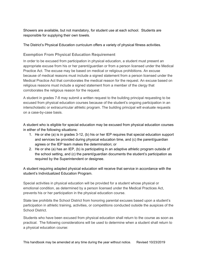Showers are available, but not mandatory, for student use at each school. Students are responsible for supplying their own towels.

<span id="page-42-0"></span>The District's Physical Education curriculum offers a variety of physical fitness activities.

#### **Exemption From Physical Education Requirement**

In order to be excused from participation in physical education, a student must present an appropriate excuse from his or her parent/guardian or from a person licensed under the Medical Practice Act. The excuse may be based on medical or religious prohibitions. An excuse because of medical reasons must include a signed statement from a person licensed under the Medical Practice Act that corroborates the medical reason for the request. An excuse based on religious reasons must include a signed statement from a member of the clergy that corroborates the religious reason for the request.

A student in grades 7-8 may submit a written request to the building principal requesting to be excused from physical education courses because of the student's ongoing participation in an interscholastic or extracurricular athletic program. The building principal will evaluate requests on a case-by-case basis.

A student who is eligible for special education may be excused from physical education courses in either of the following situations:

- 1. He or she (a) is in grades 3-12, (b) his or her IEP requires that special education support and services be provided during physical education time, and (c) the parent/guardian agrees or the IEP team makes the determination; or
- 2. He or she (a) has an IEP, (b) is participating in an adaptive athletic program outside of the school setting, and (c) the parent/guardian documents the student's participation as required by the Superintendent or designee.

A student requiring adapted physical education will receive that service in accordance with the student's Individualized Education Program.

Special activities in physical education will be provided for a student whose physical or emotional condition, as determined by a person licensed under the Medical Practices Act, prevents his or her participation in the physical education course.

State law prohibits the School District from honoring parental excuses based upon a student's participation in athletic training, activities, or competitions conducted outside the auspices of the School District.

Students who have been excused from physical education shall return to the course as soon as practical. The following considerations will be used to determine when a student shall return to a physical education course: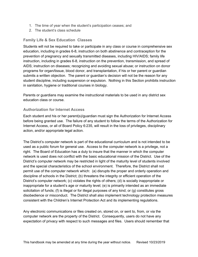- 1. The time of year when the student's participation ceases; and
- 2. The student's class schedule

#### <span id="page-43-0"></span>**Family Life & Sex Education Classes**

Students will not be required to take or participate in any class or course in comprehensive sex education, including in grades 6-8, instruction on both abstinence and contraception for the prevention of pregnancy and sexually transmitted diseases, including HIV/AIDS; family life instruction, including in grades 6-8, instruction on the prevention, transmission, and spread of AIDS; instruction on diseases; recognizing and avoiding sexual abuse; or instruction on donor programs for organ/tissue, blood donor, and transplantation, if his or her parent or guardian submits a written objection. The parent or guardian's decision will not be the reason for any student discipline, including suspension or expulsion. Nothing in this Section prohibits instruction in sanitation, hygiene or traditional courses in biology.

Parents or guardians may examine the instructional materials to be used in any district sex education class or course.

#### <span id="page-43-1"></span>**Authorization for Internet Access**

Each student and his or her parent(s)/guardian must sign the Authorization for Internet Access before being granted use. The failure of any student to follow the terms of the Authorization for Internet Access, or all of Board Policy 6:235, will result in the loss of privileges, disciplinary action, and/or appropriate legal action.

The District's computer network is part of the educational curriculum and is not intended to be used as a public forum for general use. Access to the computer network is a privilege, not a right. The Board of Education has a duty to insure that the manner in which the computer network is used does not conflict with the basic educational mission of the District. Use of the District's computer network may be restricted in light of the maturity level of students involved and the special characteristics of the school environment. Therefore, the District shall not permit use of the computer network which: (a) disrupts the proper and orderly operation and discipline of schools in the District; (b) threatens the integrity or efficient operation of the District's computer network; (c) violates the rights of others; (d) is socially inappropriate or inappropriate for a student's age or maturity level; (e) is primarily intended as an immediate solicitation of funds; (f) is illegal or for illegal purposes of any kind; or (g) constitutes gross disobedience or misconduct. The District shall also implement technology protection measures consistent with the Children's Internet Protection Act and its implementing regulations.

Any electronic communications or files created on, stored on, or sent to, from, or via the computer network are the property of the District. Consequently, users do not have any expectation of privacy with respect to such messages and files. Users should remember that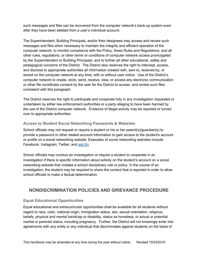such messages and files can be recovered from the computer network's back-up system even after they have been deleted from a user's individual account.

The Superintendent, Building Principals, and/or their designees may access and review such messages and files when necessary to maintain the integrity and efficient operation of the computer network; to monitor compliance with the Policy, these Rules and Regulations, and all other rules, regulations, or other terms or conditions of computer network access promulgated by the Superintendent or Building Principals; and to further all other educational, safety and pedagogical concerns of the District. The District also reserves the right to intercept, access, and disclose to appropriate authorities all information created with, sent to, received by, or stored on the computer network at any time, with or without user notice. Use of the District's computer network to create, store, send, receive, view, or access any electronic communication or other file constitutes consent by the user for the District to access and review such files consistent with this paragraph.

The District reserves the right to participate and cooperate fully in any investigation requested or undertaken by either law enforcement authorities or a party alleging to have been harmed by the use of the District computer network. Evidence of illegal activity may be reported or turned over to appropriate authorities.

#### <span id="page-44-0"></span>**Access to Student Social Networking Passwords & Websites**

School officials may not request or require a student or his or her parent(s)/guardian(s) to provide a password or other related account information to gain access to the student's account or profile on a social networking website. Examples of *social networking websites* include Facebook, Instagram, Twitter, and [ask.fm](http://ask.fm/).

School officials may conduct an investigation or require a student to cooperate in an investigation if there is specific information about activity on the student's account on a social networking website that violates a school disciplinary rule or policy. In the course of an investigation, the student may be required to share the content that is reported in order to allow school officials to make a factual determination.

# <span id="page-44-1"></span>**NONDISCRIMINATION POLICIES AND GRIEVANCE PROCEDURE**

### <span id="page-44-2"></span>**Equal Educational Opportunities**

Equal educational and extracurricular opportunities shall be available for all students without regard to race, color, national origin, immigration status, sex, sexual orientation, religious beliefs, physical and mental handicap or disability, status as homeless, or actual or potential marital or parental status, including pregnancy. Further, the District will not knowingly enter into agreements with any entity or any individual that discriminates against students on the basis of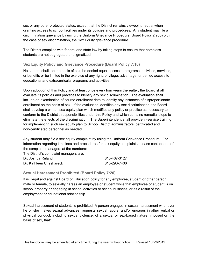sex or any other protected status, except that the District remains viewpoint neutral when granting access to school facilities under its policies and procedures. Any student may file a discrimination grievance by using the Uniform Grievance Procedure (Board Policy 2:260) or, in the case of sex discrimination, the Sex Equity grievance procedure.

The District complies with federal and state law by taking steps to ensure that homeless students are not segregated or stigmatized.

#### <span id="page-45-0"></span>**Sex Equity Policy and Grievance Procedure (Board Policy 7:10)**

No student shall, on the basis of sex, be denied equal access to programs, activities, services, or benefits or be limited in the exercise of any right, privilege, advantage, or denied access to educational and extracurricular programs and activities.

Upon adoption of this Policy and at least once every four years thereafter, the Board shall evaluate its policies and practices to identify any sex discrimination. The evaluation shall include an examination of course enrollment data to identify any instances of disproportionate enrollment on the basis of sex. If the evaluation identifies any sex discrimination, the Board shall develop a written sex equity plan which modifies any policy or practice as necessary to conform to the District's responsibilities under this Policy and which contains remedial steps to eliminate the effects of the discrimination. The Superintendent shall provide in-service training for implementing such sex equity plan to School District administrators, certificated and non-certificated personnel as needed.

Any student may file a sex equity complaint by using the Uniform Grievance Procedure. For information regarding timelines and procedures for sex equity complaints, please contact one of the complaint managers at the numbers:

The District's complaint managers are:

| Dr. Joshua Ruland       | 815-467-3127 |
|-------------------------|--------------|
| Dr. Kathleen Cheshareck | 815-290-7400 |

#### <span id="page-45-1"></span>**Sexual Harassment Prohibited (Board Policy 7:20)**

It is illegal and against Board of Education policy for any employee, student or other person, male or female, to sexually harass an employee or student while that employee or student is on school property or engaging in school activities or school business, or as a result of the employment or educational relationship.

Sexual harassment of students is prohibited. A person engages in sexual harassment whenever he or she makes sexual advances, requests sexual favors, and/or engages in other verbal or physical conduct, including sexual violence, of a sexual or sex-based nature, imposed on the basis of sex, that: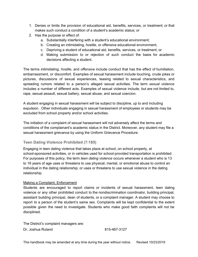- 1. Denies or limits the provision of educational aid, benefits, services, or treatment; or that makes such conduct a condition of a student's academic status; or
- 2. Has the purpose or effect of:
	- a. Substantially interfering with a student's educational environment;
	- b. Creating an intimidating, hostile, or offensive educational environment;
	- c. Depriving a student of educational aid, benefits, services, or treatment; or
	- d. Making submission to or rejection of such conduct the basis for academic decisions affecting a student.

The terms *intimidating*, *hostile*, and *offensive* include conduct that has the effect of humiliation, embarrassment, or discomfort. Examples of sexual harassment include touching, crude jokes or pictures, discussions of sexual experiences, teasing related to sexual characteristics, and spreading rumors related to a person's alleged sexual activities. The term *sexual violence* includes a number of different acts. Examples of sexual violence include, but are not limited to, rape, sexual assault, sexual battery, sexual abuse, and sexual coercion.

A student engaging in sexual harassment will be subject to discipline, up to and including expulsion. Other individuals engaging in sexual harassment of employees or students may be excluded from school property and/or school activities.

The initiation of a complaint of sexual harassment will not adversely affect the terms and conditions of the complainant's academic status in the District. Moreover, any student may file a sexual harassment grievance by using the Uniform Grievance Procedure.

### <span id="page-46-0"></span>**Teen Dating Violence Prohibited (7:185)**

Engaging in teen dating violence that takes place at school, on school property, at school-sponsored activities, or in vehicles used for school-provided transportation is prohibited. For purposes of this policy, the term *teen dating violence* occurs whenever a student who is 13 to 19 years of age uses or threatens to use physical, mental, or emotional abuse to control an individual in the dating relationship; or uses or threatens to use sexual violence in the dating relationship.

#### Making a Complaint; Enforcement

Students are encouraged to report claims or incidents of sexual harassment, teen dating violence or any other prohibited conduct to the nondiscrimination coordinator, building principal, assistant building principal, dean of students, or a complaint manager. A student may choose to report to a person of the student's same sex. Complaints will be kept confidential to the extent possible given the need to investigate. Students who make good faith complaints will not be disciplined.

The District's complaint managers are: Dr. Joshua Ruland 815-467-3127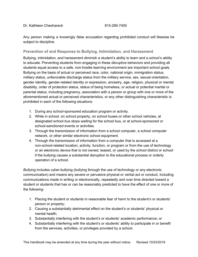Dr. Kathleen Cheshareck 815-290-7400

Any person making a knowingly false accusation regarding prohibited conduct will likewise be subject to discipline.

#### <span id="page-47-0"></span>**Prevention of and Response to Bullying, Intimidation, and Harassment**

Bullying, intimidation, and harassment diminish a student's ability to learn and a school's ability to educate. Preventing students from engaging in these disruptive behaviors and providing all students equal access to a safe, non-hostile learning environment are important school goals. Bullying on the basis of actual or perceived race, color, national origin, immigration status, military status, unfavorable discharge status from the military service, sex, sexual orientation, gender identity, gender-related identity or expression, ancestry, age, religion, physical or mental disability, order of protection status, status of being homeless, or actual or potential marital or parental status, including pregnancy, association with a person or group with one or more of the aforementioned actual or perceived characteristics, or any other distinguishing characteristic is prohibited in each of the following situations:

- 1. During any school-sponsored education program or activity.
- 2. While in school, on school property, on school buses or other school vehicles, at designated school bus stops waiting for the school bus, or at school-sponsored or school-sanctioned events or activities.
- 3. Through the transmission of information from a school computer, a school computer network, or other similar electronic school equipment.
- 4. Through the transmission of information from a computer that is accessed at a non-school-related location, activity, function, or program or from the use of technology or an electronic device that is not owned, leased, or used by the school district or school if the bullying causes a substantial disruption to the educational process or orderly operation of a school.

*Bullying* includes cyber-bullying (bullying through the use of technology or any electronic communication) and means any severe or pervasive physical or verbal act or conduct, including communications made in writing or electronically, repeatedly and over time directed toward a student or students that has or can be reasonably predicted to have the effect of one or more of the following:

- 1. Placing the student or students in reasonable fear of harm to the student's or students' person or property;
- 2. Causing a substantially detrimental effect on the student's or students' physical or mental health;
- 3. Substantially interfering with the student's or students' academic performance; or
- 4. Substantially interfering with the student's or students' ability to participate in or benefit from the services, activities, or privileges provided by a school.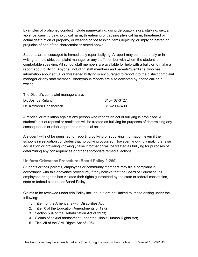Examples of prohibited conduct include name-calling, using derogatory slurs, stalking, sexual violence, causing psychological harm, threatening or causing physical harm, threatened or actual destruction of property, or wearing or possessing items depicting or implying hatred or prejudice of one of the characteristics stated above.

Students are encouraged to immediately report bullying. A report may be made orally or in writing to the district complaint manager or any staff member with whom the student is comfortable speaking. All school staff members are available for help with a bully or to make a report about bullying. Anyone, including staff members and parents/guardians, who has information about actual or threatened bullying is encouraged to report it to the district complaint manager or any staff member. Anonymous reports are also accepted by phone call or in writing.

| The District's complaint managers are: |              |
|----------------------------------------|--------------|
| Dr. Joshua Ruland                      | 815-467-3127 |
| Dr. Kathleen Cheshareck                | 815-290-7400 |

A reprisal or retaliation against any person who reports an act of bullying is prohibited. A student's act of reprisal or retaliation will be treated as bullying for purposes of determining any consequences or other appropriate remedial actions.

A student will not be punished for reporting bullying or supplying information, even if the school's investigation concludes that no bullying occurred. However, knowingly making a false accusation or providing knowingly false information will be treated as bullying for purposes of determining any consequences or other appropriate remedial actions.

### <span id="page-48-0"></span>**Uniform Grievance Procedure (Board Policy 2:260)**

Students or their parents, employees or community members may file a complaint in accordance with this grievance procedure, if they believe that the Board of Education, its employees or agents has violated their rights guaranteed by the state or federal constitution, state or federal statutes or Board Policy.

Claims to be reviewed under this Policy include, but are not limited to, those arising under the following:

- 1. Title II of the Americans with Disabilities Act;
- 2. Title IX of the Education Amendments of 1972;
- 3. Section 504 of the Rehabilitation Act of 1973;
- 4. Claims of sexual harassment under the Illinois Human Rights Act;
- 5. Title VII of the Civil Rights Act of 1964.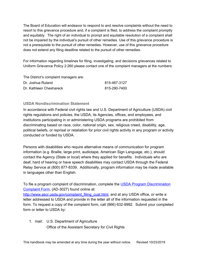The Board of Education will endeavor to respond to and resolve complaints without the need to resort to this grievance procedure and, if a complaint is filed, to address the complaint promptly and equitably. The right of an individual to prompt and equitable resolution of a complaint shall not be impaired by the individual's pursuit of other remedies. Use of this grievance procedure is not a prerequisite to the pursuit of other remedies. However, use of this grievance procedure does not extend any filing deadline related to the pursuit of other remedies.

For information regarding timelines for filing, investigating, and decisions grievances related to Uniform Grievance Policy 2:260 please contact one of the complaint managers at the numbers:

The District's complaint managers are: Dr. Joshua Ruland 815-467-3127 Dr. Kathleen Cheshareck 815-290-7400

### <span id="page-49-0"></span>**USDA Nondiscrimination Statement**

In accordance with Federal civil rights law and U.S. Department of Agriculture (USDA) civil rights regulations and policies, the USDA, its Agencies, offices, and employees, and institutions participating in or administering USDA programs are prohibited from discriminating based on race, color, national origin, sex, religious creed, disability, age, political beliefs, or reprisal or retaliation for prior civil rights activity in any program or activity conducted or funded by USDA.

Persons with disabilities who require alternative means of communication for program information (e.g. Braille, large print, audiotape, American Sign Language, etc.), should contact the Agency (State or local) where they applied for benefits. Individuals who are deaf, hard of hearing or have speech disabilities may contact USDA through the Federal Relay Service at (800) 877-8339. Additionally, program information may be made available in languages other than English.

To file a program complaint of discrimination, complete the [U](http://www.ocio.usda.gov/sites/default/files/docs/2012/Complain_combined_6_8_12.pdf)SDA Program [Discrimination](http://www.ocio.usda.gov/sites/default/files/docs/2012/Complain_combined_6_8_12.pdf) [Complaint](http://www.ocio.usda.gov/sites/default/files/docs/2012/Complain_combined_6_8_12.pdf) Form, (AD-3027) found online at:

[http://www.ascr.usda.gov/complaint\\_filing\\_cust.html](http://www.ascr.usda.gov/complaint_filing_cust.html), and at any USDA office, or write a letter addressed to USDA and provide in the letter all of the information requested in the form. To request a copy of the complaint form, call (866) 632-9992. Submit your completed form or letter to USDA by:

1. mail: U.S. Department of Agriculture Office of the Assistant Secretary for Civil Rights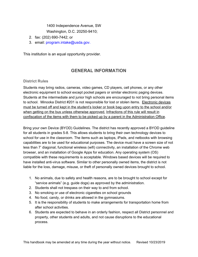1400 Independence Avenue, SW

Washington, D.C. 20250-9410;

- 2. fax: (202) 690-7442; or
- 3. email: program.intake@usda.gov.

<span id="page-50-0"></span>This institution is an equal opportunity provider.

# **GENERAL INFORMATION**

#### <span id="page-50-1"></span>**District Rules**

Students may bring radios, cameras, video games, CD players, cell phones, or any other electronic equipment to school except pocket pagers or similar electronic paging devices. Students at the intermediate and junior high schools are encouraged to not bring personal items to school. Minooka District #201 is not responsible for lost or stolen items. Electronic devices must be turned off and kept in the student's locker or book bag upon entry to the school and/or when getting on the bus unless otherwise approved. Infractions of this rule will result in confiscation of the items with them to be picked up by a parent in the Administration Office.

Bring your own Device (BYOD) Guidelines. The district has recently approved a BYOD guideline for all students in grades 5-8. This allows students to bring their own technology devices to school for use in the classroom. The items such as laptops, iPads, and netbooks with browsing capabilities are to be used for educational purposes. The device must have a screen size of not less than 7' diagonal, functional wireless (wifi) connectivity, an installation of the Chrome web browser, and an installation of Google Apps for education. Any operating system (OS) compatible with these requirements is acceptable. Windows based devices will be required to have installed anti-virus software. Similar to other personally owned items, the district is not liable for the loss, damage, misuse, or theft of personally owned devices brought to school.

- 1. No animals, due to safety and health reasons, are to be brought to school except for "service animals" (e.g. guide dogs) as approved by the administration.
- 2. Students shall not trespass on their way to and from school.
- 3. No smoking or use of electronic cigarettes on school grounds
- 4. No food, candy, or drinks are allowed in the gymnasiums.
- 5. It is the responsibility of students to make arrangements for transportation home from after school activities.
- 6. Students are expected to behave in an orderly fashion, respect all District personnel and property, other students and adults, and not cause disruptions to the educational process.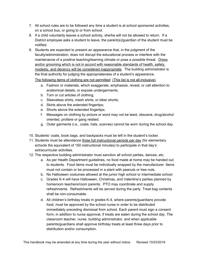- 7. All school rules are to be followed any time a student is at school sponsored activities, on a school bus, or going to or from school.
- 8. If a child voluntarily leaves a school activity, she/he will not be allowed to return. If a District employee asks a student to leave, the parent(s)/guardian of the student must be notified.
- 9. Students are expected to present an appearance that, in the judgment of the faculty/administration, does not disrupt the educational process or interfere with the maintenance of a positive teaching/learning climate or pose a possible threat. Dress and/or grooming which is not in accord with reasonable standards of health, safety, modesty, and decency will be considered inappropriate. The building administrator is the final authority for judging the appropriateness of a student's appearance. The following items of clothing are not permitted: (This list is not all-inclusive).
	- a. Fashion or materials, which exaggerate, emphasize, reveal, or call attention to anatomical details, or expose undergarments;
	- b. Torn or cut articles of clothing;
	- c. Sleeveless shirts, mesh shirts, or biker shorts;
	- d. Skirts above the extended fingertips;
	- e. Shorts above the extended fingertips;
	- f. Messages on clothing by picture or word may not be lewd, obscene, drug/alcohol oriented, profane or gang related;
	- g. Outer garments (i.e., coats, hats, scarves) cannot be worn during the school day.
- 10. Students' coats, book bags, and backpacks must be left in the student's locker.
- 11. Students must be attendance three full instructional periods per day (for elementary schools the equivalent of 150 instructional minutes) to participate in that day's extracurricular activities.
- 12. The respective building administrator must sanction all school parties, dances, etc.
	- a. As per Health Department guidelines, no food made at home may be handed out to students. Food items must be individually wrapped by the manufacturer. Items must not contain or be processed in a plant with peanuts or tree nuts.
	- b. No Halloween costumes allowed at the junior high school or intermediate school.
	- c. Grades K-4 will have Halloween, Christmas, and Valentine's parties planned by homeroom teachers/room parents. PTO may coordinate and supply refreshments. Refreshments will be served during the party. Treat bag contents shall be non-consumable.
	- d. All children's birthday treats in grades K-4, where parents/guardians provide food, must be approved by the school nurse in order to be distributed immediately preceding dismissal from school. Each parent must sign a consent form, in addition to nurse approval, if treats are eaten during the school day. The classroom teacher, nurse, building administrator, and when applicable parents/guardians shall approve birthday treats at least three days prior to distribution and/or consumption.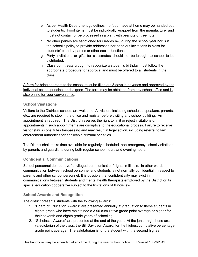- e. As per Health Department guidelines, no food made at home may be handed out to students. Food items must be individually wrapped from the manufacturer and must not contain or be processed in a plant with peanuts or tree nuts.
- f. No other parties are sanctioned for Grades K-8 during the school year nor is it the school's policy to provide addresses nor hand out invitations in class for students' birthday parties or other social functions.
- g. Party invitations or gifts for classmates should not be brought to school to be distributed.
- h. Classroom treats brought to recognize a student's birthday must follow the appropriate procedure for approval and must be offered to all students in the class.

A form for bringing treats to the school must be filled out 3 days in advance and approved by the individual school principal or designee. The form may be obtained from any school office and is also online for your convenience.

#### <span id="page-52-0"></span>**School Visitations**

Visitors to the District's schools are welcome. All visitors including scheduled speakers, parents, etc., are required to stop in the office and register before visiting any school building. An appointment is required. The District reserves the right to limit or reject visitations or appointments if such appointments are disruptive to the educational process. Failure to receive visitor status constitutes trespassing and may result in legal action, including referral to law enforcement authorities for applicable criminal penalties.

The District shall make time available for regularly scheduled, non-emergency school visitations by parents and guardians during both regular school hours and evening hours.

# <span id="page-52-1"></span>**Confidential Communications**

School personnel do not have "privileged communication" rights in Illinois. In other words, communication between school personnel and students is not normally confidential in respect to parents and other school personnel. It is possible that confidentiality may exist in communications between students and mental health therapists employed by the District or its special education cooperative subject to the limitations of Illinois law.

#### <span id="page-52-2"></span>**School Awards and Recognition**

The district presents students with the following awards:

- 1. "Board of Education Awards" are presented annually at graduation to those students in eighth grade who have maintained a 3.90 cumulative grade point average or higher for their seventh and eighth grade years of schooling.
- 2. "Scholastic Awards" are presented at the end of the year. At the junior high those are: valedictorian of the class, the Bill Davidson Award, for the highest cumulative percentage grade point average. The salutatorian is for the student with the second highest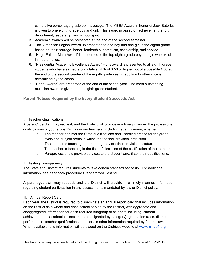cumulative percentage grade point average. The MEEA Award in honor of Jack Satorius is given to one eighth grade boy and girl. This award is based on achievement, effort, deportment, leadership, and school spirit.

- 3. Academic awards will be presented at the end of the second semester.
- 4. The "American Legion Award" is presented to one boy and one girl in the eighth grade based on their courage, honor, leadership, patriotism, scholarship, and service.
- 5. "Hugh Palmer Math Award" is presented to the top eighth grade boy and girl who excel in mathematics.
- 6. "Presidential Academic Excellence Award" this award is presented to all eighth grade students who have earned a cumulative GPA of 3.50 or higher out of a possible 4.00 at the end of the second quarter of the eighth grade year in addition to other criteria determined by the school.
- 7. "Band Awards" are presented at the end of the school year. The most outstanding musician award is given to one eighth grade student.

<span id="page-53-0"></span>**Parent Notices Required by the Every Student Succeeds Act**

#### I. Teacher Qualifications

.

A parent/guardian may request, and the District will provide in a timely manner, the professional qualifications of your student's classroom teachers, including, at a minimum, whether:

- a. The teacher has met the State qualifications and licensing criteria for the grade levels and subject areas in which the teacher provides instruction.
- b. The teacher is teaching under emergency or other provisional status.
- c. The teacher is teaching in the field of discipline of the certification of the teacher.
- d. Paraprofessionals provide services to the student and, if so, their qualifications.
- II. Testing Transparency

The State and District requires students to take certain standardized tests. For additional information, see handbook procedure Standardized Testing

A parent/guardian may request, and the District will provide in a timely manner, information regarding student participation in any assessments mandated by law or District policy.

#### III. Annual Report Card

Each year, the District is required to disseminate an annual report card that includes information on the District as a whole and each school served by the District, with aggregate and disaggregated information for each required subgroup of students including: student achievement on academic assessments (designated by category), graduation rates, district performance, teacher qualifications, and certain other information required by federal law. When available, this information will be placed on the District's website at [www.min201.org](http://www.min201.org/)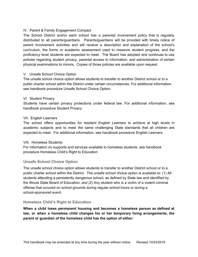#### IV. Parent & Family Engagement Compact

The School District and/or each school has a parental involvement policy that is regularly distributed to all parents/guardians. Parents/guardians will be provided with timely notice of parent involvement activities and will receive a description and explanation of the school's curriculum, the forms or academic assessment used to measure student progress, and the proficiency level students are expected to meet. The Board has adopted and continues to use policies regarding student privacy, parental access to information, and administration of certain physical examinations to minors. Copies of those policies are available upon request.

#### V. Unsafe School Choice Option

The unsafe school choice option allows students to transfer to another District school or to a public charter school within the District under certain circumstances. For additional information, see handbook procedure Unsafe School Choice Option.

#### VI. Student Privacy

Students have certain privacy protections under federal law. For additional information, see handbook procedure Student Privacy

#### VII. English Learners

The school offers opportunities for resident English Learners to achieve at high levels in academic subjects and to meet the same challenging State standards that all children are expected to meet. For additional information, see handbook procedure English Learners

#### VIII. Homeless Students

For information on supports and services available to homeless students, see handbook procedure Homeless Child's Right to Education

#### <span id="page-54-0"></span>**Unsafe School Choice Option**

The unsafe school choice option allows students to transfer to another District school or to a public charter school within the District. The unsafe school choice option is available to: (1) All students attending a persistently dangerous school, as defined by State law and identified by the Illinois State Board of Education; and (2) Any student who is a victim of a violent criminal offense that occured on school grounds during regular school hours or during a school-sponsored event.

#### <span id="page-54-1"></span>**Homeless Child's Right to Education**

**When a child loses permanent housing and becomes a homeless person as defined at law, or when a homeless child changes his or her temporary living arrangements, the parent or guardian of the homeless child has the option of either:**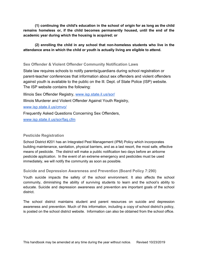**(1) continuing the child's education in the school of origin for as long as the child remains homeless or, if the child becomes permanently housed, until the end of the academic year during which the housing is acquired; or**

**(2) enrolling the child in any school that non-homeless students who live in the attendance area in which the child or youth is actually living are eligible to attend.**

#### **Sex Offender & Violent Offender Community Notification Laws**

State law requires schools to notify parents/guardians during school registration or parent-teacher conferences that information about sex offenders and violent offenders against youth is available to the public on the Ill. Dept. of State Police (ISP) website. The ISP website contains the following:

Illinois Sex Offender Registry, [www.isp.state.il.us/sor/](http://www.isp.state.il.us/sor/) Illinois Murderer and Violent Offender Against Youth Registry, [www.isp.state.il.us/cmvo/](http://www.isp.state.il.us/cmvo/) Frequently Asked Questions Concerning Sex Offenders,

[www.isp.state.il.us/sor/faq.cfm](http://www.isp.state.il.us/sor/faq.cfm)

### <span id="page-55-0"></span>**Pesticide Registration**

School District #201 has an Integrated Pest Management (IPM) Policy which incorporates building maintenance, sanitation, physical barriers, and as a last resort, the most safe, effective means of pesticide. The district will make a public notification two days before an airborne pesticide application. In the event of an extreme emergency and pesticides must be used immediately, we will notify the community as soon as possible.

#### <span id="page-55-1"></span>**Suicide and Depression Awareness and Prevention (Board Policy 7:290)**

Youth suicide impacts the safety of the school environment. It also affects the school community, diminishing the ability of surviving students to learn and the school's ability to educate. Suicide and depression awareness and prevention are important goals of the school district.

The school district maintains student and parent resources on suicide and depression awareness and prevention. Much of this information, including a copy of school district's policy, is posted on the school district website. Information can also be obtained from the school office.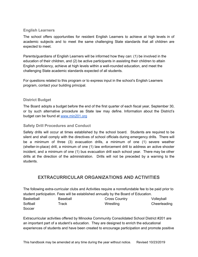#### <span id="page-56-0"></span>**English Learners**

The school offers opportunities for resident English Learners to achieve at high levels in of academic subjects and to meet the same challenging State standards that all children are expected to meet.

Parents/guardians of English Learners will be informed how they can: (1) be involved in the education of their children, and (2) be active participants in assisting their children to attain English proficiency, achieve at high levels within a well-rounded education, and meet the challenging State academic standards expected of all students.

For questions related to this program or to express input in the school's English Learners program, contact your building principal.

#### <span id="page-56-1"></span>**District Budget**

The Board adopts a budget before the end of the first quarter of each fiscal year, September 30, or by such alternative procedure as State law may define. Information about the District's budget can be found at [www.min201.org](http://www.min201.org/)

#### <span id="page-56-2"></span>**Safety Drill Procedures and Conduct**

Safety drills will occur at times established by the school board. Students are required to be silent and shall comply with the directives of school officials during emergency drills. There will be a minimum of three (3) evacuation drills, a minimum of one (1) severe weather (shelter-in-place) drill, a minimum of one (1) law enforcement drill to address an active shooter incident, and a minimum of one (1) bus evacuation drill each school year. There may be other drills at the direction of the administration. Drills will not be preceded by a warning to the students.

# <span id="page-56-3"></span>**EXTRACURRICULAR ORGANIZATIONS AND ACTIVITIES**

The following extra-curricular clubs and Activities require a nonrefundable fee to be paid prior to student participation. Fees will be established annually by the Board of Education.

| <b>Basketball</b> | Baseball | <b>Cross Country</b> | Volleyball   |
|-------------------|----------|----------------------|--------------|
| Softball          | Track    | Wrestling            | Cheerleading |
| Soccer            |          |                      |              |

Extracurricular activities offered by Minooka Community Consolidated School District #201 are an important part of a student's education. They are designed to enrich the educational experiences of students and have been created to encourage participation and promote positive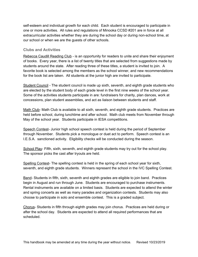self-esteem and individual growth for each child. Each student is encouraged to participate in one or more activities. All rules and regulations of Minooka CCSD #201 are in force at all extracurricular activities whether they are during the school day or during non-school time, at our school or when we are the guests of other schools.

#### <span id="page-57-0"></span>**Clubs and Activities**

Rebecca Caudill Reading Club - is an opportunity for readers to unite and share their enjoyment of books. Every year, there is a list of twenty titles that are selected from suggestions made by students around the state. After reading three of these titles, a student is invited to join. A favorite book is selected among the members as the school winner, and new recommendations for the book list are taken. All students at the junior high are invited to participate.

Student Council - The student council is made up sixth, seventh, and eighth grade students who are elected by the student body of each grade level in the first nine weeks of the school year. Some of the activities students participate in are: fundraisers for charity, plan dances, work at concessions, plan student assemblies, and act as liaison between students and staff.

Math Club- Math Club is available to all sixth, seventh, and eighth grade students. Practices are held before school, during lunchtime and after school. Math club meets from November through May of the school year. Students participate in IESA competitions.

Speech Contest- Junior high school speech contest is held during the period of September through November. Students pick a monologue or duet act to perform. Speech contest is an I.E.S.A. sanctioned activity. Eligibility checks will be conducted during the season.

School Play- Fifth, sixth, seventh, and eighth grade students may try out for the school play. The sponsor picks the cast after tryouts are held.

Spelling Contest- The spelling contest is held in the spring of each school year for sixth, seventh, and eighth grade students. Winners represent the school in the IVC Spelling Contest.

Band- Students in fifth, sixth, seventh and eighth grades are eligible to join band. Practices begin in August and run through June. Students are encouraged to purchase instruments. Rental instruments are available on a limited basis. Students are expected to attend the winter and spring concerts as well as many parades and organization contests. Students may also choose to participate in solo and ensemble contest. This is a graded subject.

Chorus- Students in fifth through eighth grades may join chorus. Practices are held during or after the school day. Students are expected to attend all required performances that are scheduled.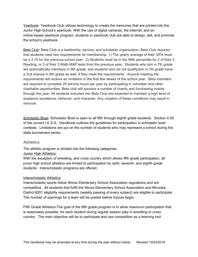Yearbook- Yearbook Club utilizes technology to create the memories that are printed into the Junior High School's yearbook. With the use of digital cameras, the internet, and an online-based yearbook program, students in yearbook club are able to design, sell, and promote the school's yearbook.

Beta Club- Beta Club is a leadership, service, and scholastic organization. Beta Club requires that students meet two requirements for membership. 1) The yearly average of their GPA must be a 3.75 for the previous school year. 2) Students must be in the 90th percentile for 2 of their 3 Reading, or 2 of their 3 Math MAP tests from the previous year. Students who join in 7th grade are automatically members in 8th grade, and students who do not qualify/join in 7th grade have a 2nd chance in 8th grade as well, if they meet the requirements. Anyone meeting the requirements will receive an invitation in the first few weeks of the school year. Beta members are required to complete 25 service hours per year by participating in volunteer and other charitable opportunities. Beta club will sponsor a number of charity and fundraising events through the year. All students inducted into Beta Club are expected to maintain a high level of academic excellence, behavior, and character. Any violation of these conditions may result in removal.

Scholastic Bowl- Scholastic Bowl is open to all fifth through eighth grade students. Section 4.00 of the current I.E.S.A. Handbook outlines the guidelines for participation in scholastic bowl contests. Limitations are put on the number of students who may represent a school during the state tournament series.

#### <span id="page-58-0"></span>**Athletics**

The athletic program is divided into the following categories:

#### Junior High Athletics:

With the exception of wrestling, and cross country which allows fifth grade participation, all junior high school athletics are limited to participation by sixth, seventh, and eighth grade students. Interscholastic programs are offered.

#### Interscholastic Athletics:

Interscholastic sports follow Illinois Elementary School Association regulations and are competitive. All students that fulfill the Illinois Elementary School Association and Minooka District #201 eligibility requirements (weekly passing of every subject) are eligible to participate. The number of openings for a team will be posted before tryouts begin.

Fifth Grade Athletics-The goal of the fifth grade program is to allow maximum participation that is reasonably possible, for each student during regular season play in wrestling or cross country. The main objective will be to participate and use competition as a learning tool.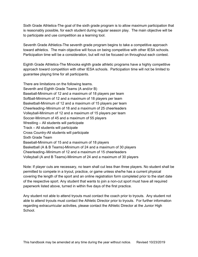Sixth Grade Athletics-The goal of the sixth grade program is to allow maximum participation that is reasonably possible, for each student during regular season play. The main objective will be to participate and use competition as a learning tool.

Seventh Grade Athletics-The seventh grade program begins to take a competitive approach toward athletics. The main objective will focus on being competitive with other IESA schools. Participation time will be a consideration, but will not be focused on throughout each contest.

Eighth Grade Athletics-The Minooka eighth grade athletic programs have a highly competitive approach toward competition with other IESA schools. Participation time will not be limited to guarantee playing time for all participants.

There are limitations on the following teams. Seventh and Eighth Grade Teams (A and/or B) Baseball-Minimum of 12 and a maximum of 18 players per team Softball-Minimum of 12 and a maximum of 18 players per team Basketball-Minimum of 12 and a maximum of 15 players per team Cheerleading–Minimum of 18 and a maximum of 25 cheerleaders Volleyball-Minimum of 12 and a maximum of 15 players per team Soccer-Minimum of 45 and a maximum of 55 players Wrestling – All students will participate Track – All students will participate Cross Country-All students will participate Sixth Grade Team Baseball-Minimum of 15 and a maximum of 18 players Basketball (A & B Teams)-Minimum of 24 and a maximum of 30 players Cheerleading–Minimum of 12 and a maximum of 15 cheerleaders Volleyball (A and B Teams)-Minimum of 24 and a maximum of 30 players

Note: If player cuts are necessary, no team shall cut less than three players. No student shall be permitted to compete in a tryout, practice, or game unless she/he has a current physical covering the length of the sport and an online registration form completed prior to the start date of the respective sport. Any student that wants to join a non-cut sport must have all required paperwork listed above, turned in within five days of the first practice.

Any student not able to attend tryouts must contact the coach prior to tryouts. Any student not able to attend tryouts must contact the Athletic Director prior to tryouts. For further information regarding extracurricular activities, please contact the Athletic Director at the Junior High School.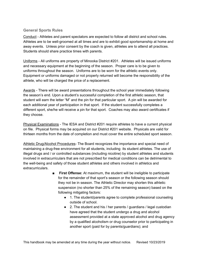#### <span id="page-60-0"></span>**General Sports Rules**

Conduct - Athletes and parent spectators are expected to follow all district and school rules. Athletes are to be well-groomed at all times and are to exhibit good sportsmanship at home and away events. Unless prior consent by the coach is given, athletes are to attend all practices. Students should share practice times with parents.

Uniforms - All uniforms are property of Minooka District #201. Athletes will be issued uniforms and necessary equipment at the beginning of the season. Proper care is to be given to uniforms throughout the season. Uniforms are to be worn for the athletic events only. Equipment or uniforms damaged or not properly returned will become the responsibility of the athlete, who will be charged the price of a replacement.

Awards - There will be award presentations throughout the school year immediately following the season's end. Upon a student's successful completion of the first athletic season, that student will earn the letter "M" and the pin for that particular sport. A pin will be awarded for each additional year of participation in that sport. If the student successfully completes a different sport, she/he will receive a pin for that sport. Coaches may also award certificates if they choose.

Physical Examinations - The IESA and District #201 require athletes to have a current physical on file. Physical forms may be acquired on our District #201 website. Physicals are valid for thirteen months from the date of completion and must cover the entire scheduled sport season.

Athletic Drug/Alcohol Procedures- The Board recognizes the importance and special need of maintaining a drug-free environment for all students, including its student athletes. The use of illegal drugs and / or controlled substances (including nicotine) by student athletes and students involved in extracurriculars that are not prescribed for medical conditions can be detrimental to the well-being and safety of those student athletes and others involved in athletics and extracurriculars.

- **First Offense:** At maximum, the student will be ineligible to participate for the remainder of that sport's season or the following season should they not be in season. The Athletic Director may shorten this athletic suspension (no shorter than 25% of the remaining season) based on the following mitigating factors:
	- 1. The student/parents agree to complete professional counseling outside of school.
	- 2. The student and his / her parents / guardians / legal custodian have agreed that the student undergo a drug and alcohol assessment provided at a state approved alcohol and drug agency by a qualified alcoholism or drug counselor prior to participating in another sport (paid for by parents/guardians); and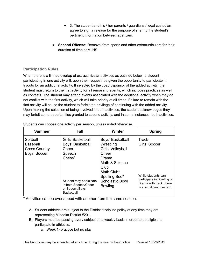- 3. The student and his / her parents / guardians / legal custodian agree to sign a release for the purpose of sharing the student's pertinent information between agencies.
- **Second Offense:** Removal from sports and other extracurriculars for their duration of time at MJHS

### <span id="page-61-0"></span>**Participation Rules**

When there is a limited overlap of extracurricular activities as outlined below, a student participating in one activity will, upon their request, be given the opportunity to participate in tryouts for an additional activity. If selected by the coach/sponsor of the added activity, the student must return to the first activity for all remaining events, which includes practices as well as contests. The student may attend events associated with the additional activity when they do not conflict with the first activity, which will take priority at all times. Failure to remain with the first activity will cause the student to forfeit the privilege of continuing with the added activity. Upon making the selection of being involved in both activities, the student acknowledges they may forfeit some opportunities granted to second activity, and in some instances, both activities.

| <b>Summer</b>                                                       | Fall                                                                                                                                                          | <b>Winter</b>                                                                                                                                                             | <b>Spring</b>                                                                                                                            |
|---------------------------------------------------------------------|---------------------------------------------------------------------------------------------------------------------------------------------------------------|---------------------------------------------------------------------------------------------------------------------------------------------------------------------------|------------------------------------------------------------------------------------------------------------------------------------------|
| Softball<br><b>Baseball</b><br><b>Cross Country</b><br>Boys' Soccer | Girls' Basketball<br>Boys' Basketball<br>Cheer<br>Speech<br>Chess*<br>Student may participate<br>in both Speech/Cheer<br>or Speech/Boys'<br><b>Basketball</b> | Boys' Basketball<br>Wrestling<br>Girls' Volleyball<br>Cheer<br>Drama<br>Math & Science<br>Club<br>Math Club*<br>Spelling Bee*<br><b>Scholastic Bowl</b><br><b>Bowling</b> | <b>Track</b><br>Girls' Soccer<br>While students can<br>participate in Bowling or<br>Drama with track, there<br>is a significant overlap. |

Students can choose one activity per season, unless noted otherwise.

\* Activities can be overlapped with another from the same season.

- A. Student athletes are subject to the District discipline policy at any time they are representing Minooka District #201.
- B. Players must be passing every subject on a weekly basis in order to be eligible to participate in athletics.
	- a. Week 1- practice but no play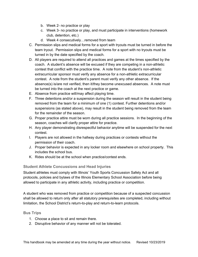- b. Week 2- no practice or play
- c. Week 3- no practice or play, and must participate in interventions (homework club, detention, etc.)
- d. Week 4 consecutively…removed from team
- C. Permission slips and medical forms for a sport with tryouts must be turned in before the team tryout. Permission slips and medical forms for a sport with no tryouts must be turned in by the date specified by the coach.
- D. All players are required to attend all practices and games at the times specified by the coach. A student's absence will be excused if they are competing in a non-athletic contest that conflict with the practice time. A note from the student's non-athletic extracurricular sponsor must verify any absence for a non-athletic extracurricular contest. A note from the student's parent must verify any other absence. If the absence(s) is/are not verified, then it/they become unexcused absences. A note must be turned into the coach at the next practice or game.
- E. Absence from practice will/may affect playing time.
- F. Three detentions and/or a suspension during the season will result in the student being removed from the team for a minimum of one (1) contest. Further detentions and/or suspensions (as stated above), may result in the student being removed from the team for the remainder of the season.
- G. Proper practice attire must be worn during all practice sessions. In the beginning of the season, coaches will clarify proper attire for practice.
- H. Any player demonstrating disrespectful behavior anytime will be suspended for the next contest.
- I. Players are not allowed in the hallway during practices or contests without the permission of their coach.
- J. Proper behavior is expected in any locker room and elsewhere on school property. This includes the school bus.
- K. Rides should be at the school when practice/contest ends.

#### <span id="page-62-0"></span>**Student Athlete Concussions and Head Injuries**

Student athletes must comply with Illinois' Youth Sports Concussion Safety Act and all protocols, policies and bylaws of the Illinois Elementary School Association before being allowed to participate in any athletic activity, including practice or competition.

A student who was removed from practice or competition because of a suspected concussion shall be allowed to return only after all statutory prerequisites are completed, including without limitation, the School District's return-to-play and return-to-learn protocols.

#### <span id="page-62-1"></span>**Bus Trips**

- 1. Choose a place to sit and remain there.
- 2. Disruptive behavior of any manner will not be tolerated.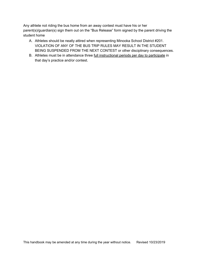Any athlete not riding the bus home from an away contest must have his or her parent(s)/guardian(s) sign them out on the "Bus Release" form signed by the parent driving the student home

- A. Athletes should be neatly attired when representing Minooka School District #201. VIOLATION OF ANY OF THE BUS TRIP RULES MAY RESULT IN THE STUDENT BEING SUSPENDED FROM THE NEXT CONTEST or other disciplinary consequences.
- B. Athletes must be in attendance three full instructional periods per day to participate in that day's practice and/or contest.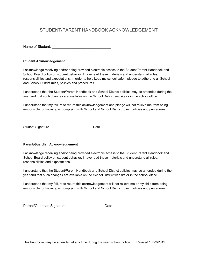# <span id="page-64-0"></span>STUDENT/PARENT HANDBOOK ACKNOWLEDGEMENT

Name of Student:  $\blacksquare$ 

#### **Student Acknowledgement**

I acknowledge receiving and/or being provided electronic access to the Student/Parent Handbook and School Board policy on student behavior. I have read these materials and understand all rules, responsibilities and expectations. In order to help keep my school safe, I pledge to adhere to all School and School District rules, policies and procedures.

I understand that the Student/Parent Handbook and School District policies may be amended during the year and that such changes are available on the School District website or in the school office.

I understand that my failure to return this acknowledgement and pledge will not relieve me from being responsible for knowing or complying with School and School District rules, policies and procedures.

Student Signature Date

\_\_\_\_\_\_\_\_\_\_\_\_\_\_\_\_\_\_\_\_\_\_\_\_\_\_\_\_\_\_\_\_\_\_\_ \_\_\_\_\_\_\_\_\_\_\_\_\_\_\_\_\_\_\_\_\_\_\_\_\_\_

#### **Parent/Guardian Acknowledgement**

I acknowledge receiving and/or being provided electronic access to the Student/Parent Handbook and School Board policy on student behavior. I have read these materials and understand all rules, responsibilities and expectations.

I understand that the Student/Parent Handbook and School District policies may be amended during the year and that such changes are available on the School District website or in the school office.

I understand that my failure to return this acknowledgement will not relieve me or my child from being responsible for knowing or complying with School and School District rules, policies and procedures.

\_\_\_\_\_\_\_\_\_\_\_\_\_\_\_\_\_\_\_\_\_\_\_\_\_\_\_\_\_\_\_\_\_\_\_ \_\_\_\_\_\_\_\_\_\_\_\_\_\_\_\_\_\_\_\_\_\_\_\_\_\_

Parent/Guardian Signature Date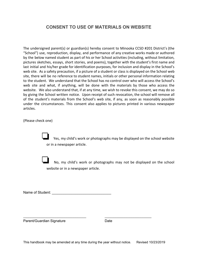# <span id="page-65-0"></span>**CONSENT TO USE OF MATERIALS ON WEBSITE**

The undersigned parent(s) or guardian(s) hereby consent to Minooka CCSD #201 District's (the "School") use, reproduction, display, and performance of any creative works made or authored by the below named student as part of his or her School activities (including, without limitation, pictures sketches, essays, short stories, and poems), together with the student's first name and last initial and his/her grade for identification purposes, for inclusion and display in the School's web site. As a safety precaution, if a picture of a student or class is displayed on the School web site, there will be no reference to student names, initials or other personal information relating to the student. We understand that the School has no control over who will access the School's web site and what, if anything, will be done with the materials by those who access the website. We also understand that, if at any time, we wish to revoke this consent, we may do so by giving the School written notice. Upon receipt of such revocation, the school will remove all of the student's materials from the School's web site, if any, as soon as reasonably possible under the circumstances. This consent also applies to pictures printed in various newspaper articles.

(Please check one)

Yes, my child's work or photographs may be displayed on the school website or in a newspaper article.

❏ No, my child's work or photographs may not be displayed on the school website or in a newspaper article.

Name of Student: \_\_\_\_\_\_\_\_\_\_\_\_\_\_\_\_\_\_\_\_\_\_\_\_\_\_\_\_\_\_

Parent/Guardian Signature Date

\_\_\_\_\_\_\_\_\_\_\_\_\_\_\_\_\_\_\_\_\_\_\_\_\_\_\_\_\_\_\_\_\_\_\_ \_\_\_\_\_\_\_\_\_\_\_\_\_\_\_\_\_\_\_\_\_\_\_\_\_\_